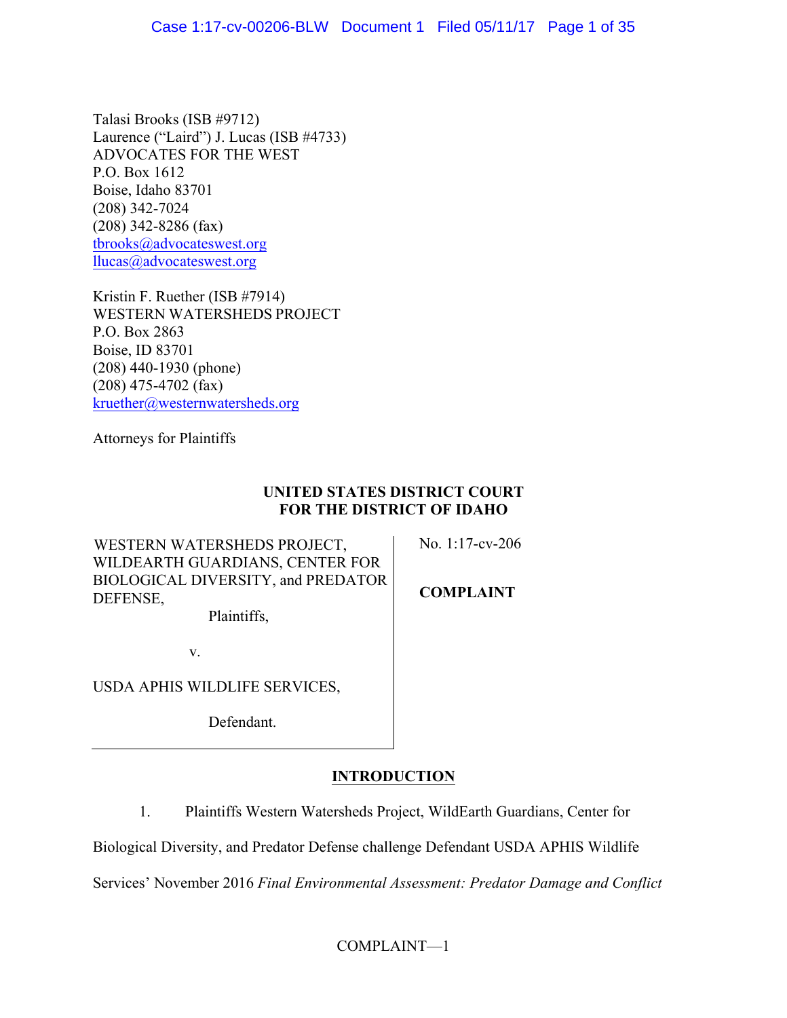Talasi Brooks (ISB #9712) Laurence ("Laird") J. Lucas (ISB #4733) ADVOCATES FOR THE WEST P.O. Box 1612 Boise, Idaho 83701 (208) 342-7024 (208) 342-8286 (fax) tbrooks@advocateswest.org llucas@advocateswest.org

Kristin F. Ruether (ISB #7914) WESTERN WATERSHEDS PROJECT P.O. Box 2863 Boise, ID 83701 (208) 440-1930 (phone) (208) 475-4702 (fax) kruether@westernwatersheds.org

Attorneys for Plaintiffs

# **UNITED STATES DISTRICT COURT FOR THE DISTRICT OF IDAHO**

WESTERN WATERSHEDS PROJECT, WILDEARTH GUARDIANS, CENTER FOR BIOLOGICAL DIVERSITY, and PREDATOR DEFENSE, Plaintiffs,

**COMPLAINT**

No. 1:17-cv-206

v.

USDA APHIS WILDLIFE SERVICES,

Defendant.

# **INTRODUCTION**

1. Plaintiffs Western Watersheds Project, WildEarth Guardians, Center for

Biological Diversity, and Predator Defense challenge Defendant USDA APHIS Wildlife

Services' November 2016 *Final Environmental Assessment: Predator Damage and Conflict*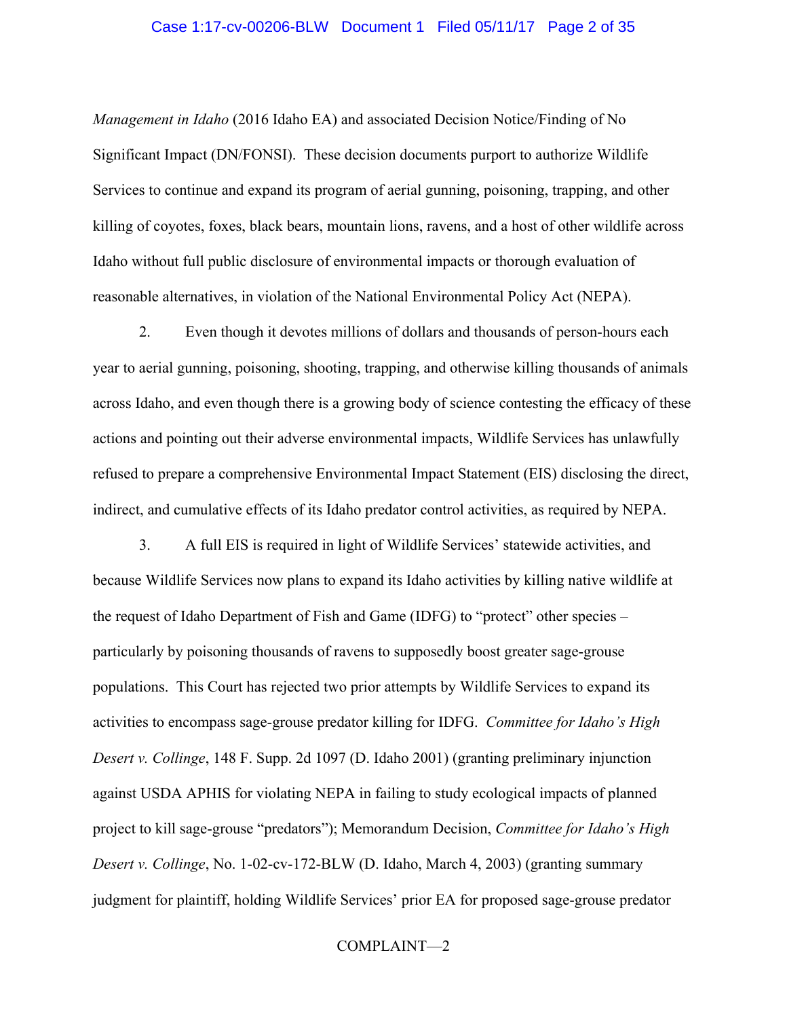### Case 1:17-cv-00206-BLW Document 1 Filed 05/11/17 Page 2 of 35

*Management in Idaho* (2016 Idaho EA) and associated Decision Notice/Finding of No Significant Impact (DN/FONSI). These decision documents purport to authorize Wildlife Services to continue and expand its program of aerial gunning, poisoning, trapping, and other killing of coyotes, foxes, black bears, mountain lions, ravens, and a host of other wildlife across Idaho without full public disclosure of environmental impacts or thorough evaluation of reasonable alternatives, in violation of the National Environmental Policy Act (NEPA).

2. Even though it devotes millions of dollars and thousands of person-hours each year to aerial gunning, poisoning, shooting, trapping, and otherwise killing thousands of animals across Idaho, and even though there is a growing body of science contesting the efficacy of these actions and pointing out their adverse environmental impacts, Wildlife Services has unlawfully refused to prepare a comprehensive Environmental Impact Statement (EIS) disclosing the direct, indirect, and cumulative effects of its Idaho predator control activities, as required by NEPA.

3. A full EIS is required in light of Wildlife Services' statewide activities, and because Wildlife Services now plans to expand its Idaho activities by killing native wildlife at the request of Idaho Department of Fish and Game (IDFG) to "protect" other species – particularly by poisoning thousands of ravens to supposedly boost greater sage-grouse populations. This Court has rejected two prior attempts by Wildlife Services to expand its activities to encompass sage-grouse predator killing for IDFG. *Committee for Idaho's High Desert v. Collinge*, 148 F. Supp. 2d 1097 (D. Idaho 2001) (granting preliminary injunction against USDA APHIS for violating NEPA in failing to study ecological impacts of planned project to kill sage-grouse "predators"); Memorandum Decision, *Committee for Idaho's High Desert v. Collinge*, No. 1-02-cv-172-BLW (D. Idaho, March 4, 2003) (granting summary judgment for plaintiff, holding Wildlife Services' prior EA for proposed sage-grouse predator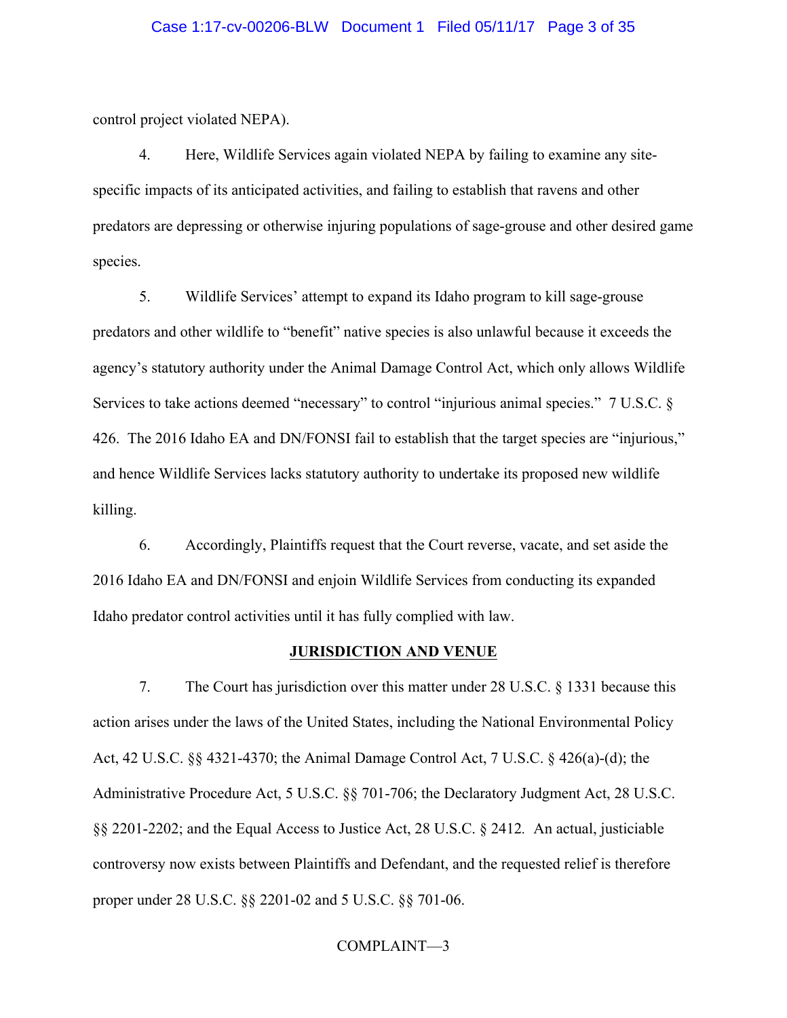### Case 1:17-cv-00206-BLW Document 1 Filed 05/11/17 Page 3 of 35

control project violated NEPA).

4. Here, Wildlife Services again violated NEPA by failing to examine any sitespecific impacts of its anticipated activities, and failing to establish that ravens and other predators are depressing or otherwise injuring populations of sage-grouse and other desired game species.

5. Wildlife Services' attempt to expand its Idaho program to kill sage-grouse predators and other wildlife to "benefit" native species is also unlawful because it exceeds the agency's statutory authority under the Animal Damage Control Act, which only allows Wildlife Services to take actions deemed "necessary" to control "injurious animal species." 7 U.S.C. § 426. The 2016 Idaho EA and DN/FONSI fail to establish that the target species are "injurious," and hence Wildlife Services lacks statutory authority to undertake its proposed new wildlife killing.

6. Accordingly, Plaintiffs request that the Court reverse, vacate, and set aside the 2016 Idaho EA and DN/FONSI and enjoin Wildlife Services from conducting its expanded Idaho predator control activities until it has fully complied with law.

### **JURISDICTION AND VENUE**

7. The Court has jurisdiction over this matter under 28 U.S.C. § 1331 because this action arises under the laws of the United States, including the National Environmental Policy Act, 42 U.S.C. §§ 4321-4370; the Animal Damage Control Act, 7 U.S.C. § 426(a)-(d); the Administrative Procedure Act, 5 U.S.C. §§ 701-706; the Declaratory Judgment Act, 28 U.S.C. §§ 2201-2202; and the Equal Access to Justice Act, 28 U.S.C. § 2412*.* An actual, justiciable controversy now exists between Plaintiffs and Defendant, and the requested relief is therefore proper under 28 U.S.C. §§ 2201-02 and 5 U.S.C. §§ 701-06.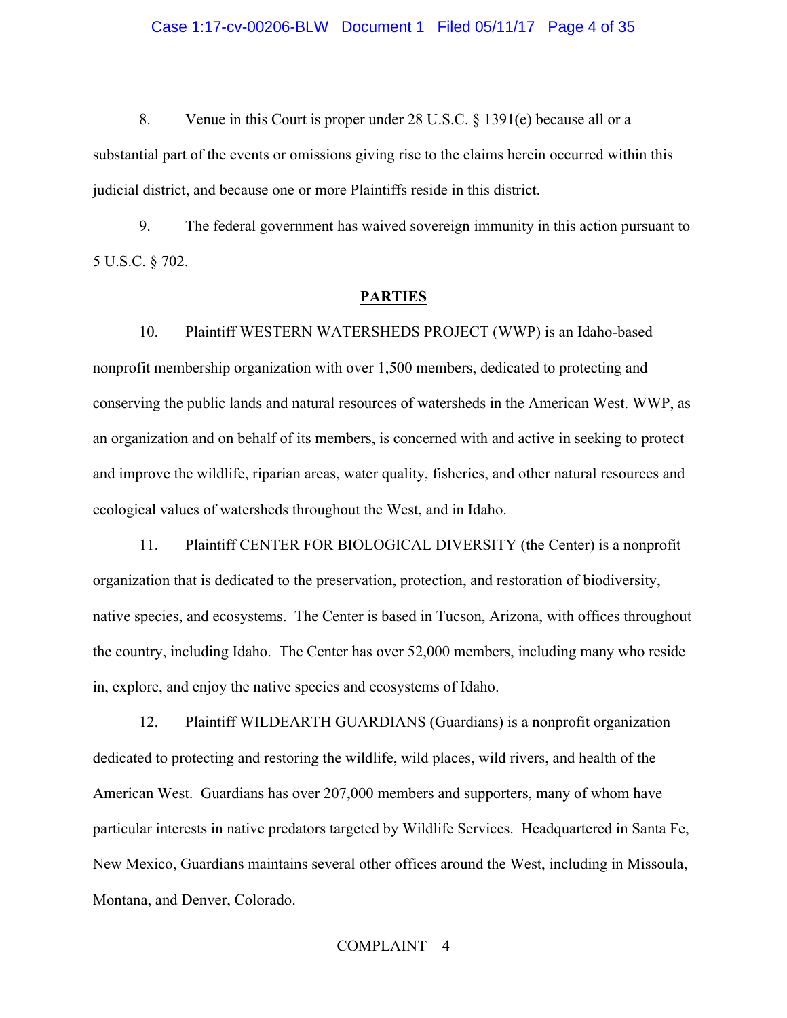8. Venue in this Court is proper under 28 U.S.C. § 1391(e) because all or a substantial part of the events or omissions giving rise to the claims herein occurred within this judicial district, and because one or more Plaintiffs reside in this district.

9. The federal government has waived sovereign immunity in this action pursuant to 5 U.S.C. § 702.

### **PARTIES**

10. Plaintiff WESTERN WATERSHEDS PROJECT (WWP) is an Idaho-based nonprofit membership organization with over 1,500 members, dedicated to protecting and conserving the public lands and natural resources of watersheds in the American West. WWP, as an organization and on behalf of its members, is concerned with and active in seeking to protect and improve the wildlife, riparian areas, water quality, fisheries, and other natural resources and ecological values of watersheds throughout the West, and in Idaho.

11. Plaintiff CENTER FOR BIOLOGICAL DIVERSITY (the Center) is a nonprofit organization that is dedicated to the preservation, protection, and restoration of biodiversity, native species, and ecosystems. The Center is based in Tucson, Arizona, with offices throughout the country, including Idaho. The Center has over 52,000 members, including many who reside in, explore, and enjoy the native species and ecosystems of Idaho.

12. Plaintiff WILDEARTH GUARDIANS (Guardians) is a nonprofit organization dedicated to protecting and restoring the wildlife, wild places, wild rivers, and health of the American West. Guardians has over 207,000 members and supporters, many of whom have particular interests in native predators targeted by Wildlife Services. Headquartered in Santa Fe, New Mexico, Guardians maintains several other offices around the West, including in Missoula, Montana, and Denver, Colorado.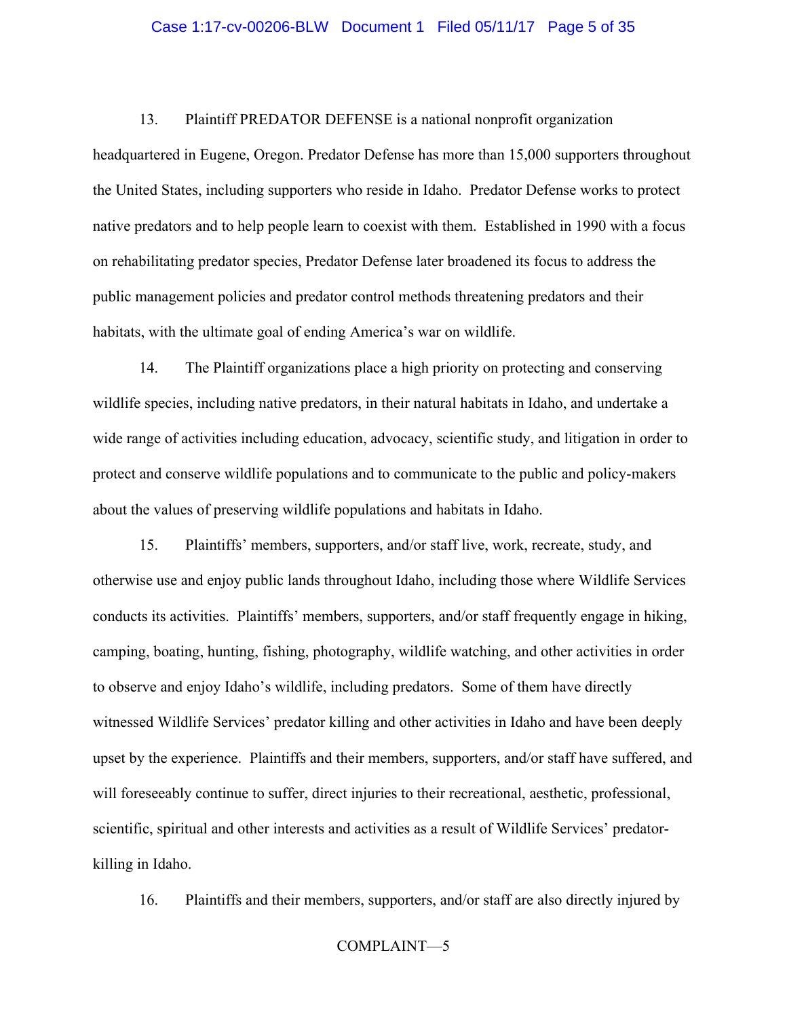### Case 1:17-cv-00206-BLW Document 1 Filed 05/11/17 Page 5 of 35

13. Plaintiff PREDATOR DEFENSE is a national nonprofit organization

headquartered in Eugene, Oregon. Predator Defense has more than 15,000 supporters throughout the United States, including supporters who reside in Idaho. Predator Defense works to protect native predators and to help people learn to coexist with them. Established in 1990 with a focus on rehabilitating predator species, Predator Defense later broadened its focus to address the public management policies and predator control methods threatening predators and their habitats, with the ultimate goal of ending America's war on wildlife.

14. The Plaintiff organizations place a high priority on protecting and conserving wildlife species, including native predators, in their natural habitats in Idaho, and undertake a wide range of activities including education, advocacy, scientific study, and litigation in order to protect and conserve wildlife populations and to communicate to the public and policy-makers about the values of preserving wildlife populations and habitats in Idaho.

15. Plaintiffs' members, supporters, and/or staff live, work, recreate, study, and otherwise use and enjoy public lands throughout Idaho, including those where Wildlife Services conducts its activities. Plaintiffs' members, supporters, and/or staff frequently engage in hiking, camping, boating, hunting, fishing, photography, wildlife watching, and other activities in order to observe and enjoy Idaho's wildlife, including predators. Some of them have directly witnessed Wildlife Services' predator killing and other activities in Idaho and have been deeply upset by the experience. Plaintiffs and their members, supporters, and/or staff have suffered, and will foreseeably continue to suffer, direct injuries to their recreational, aesthetic, professional, scientific, spiritual and other interests and activities as a result of Wildlife Services' predatorkilling in Idaho.

16. Plaintiffs and their members, supporters, and/or staff are also directly injured by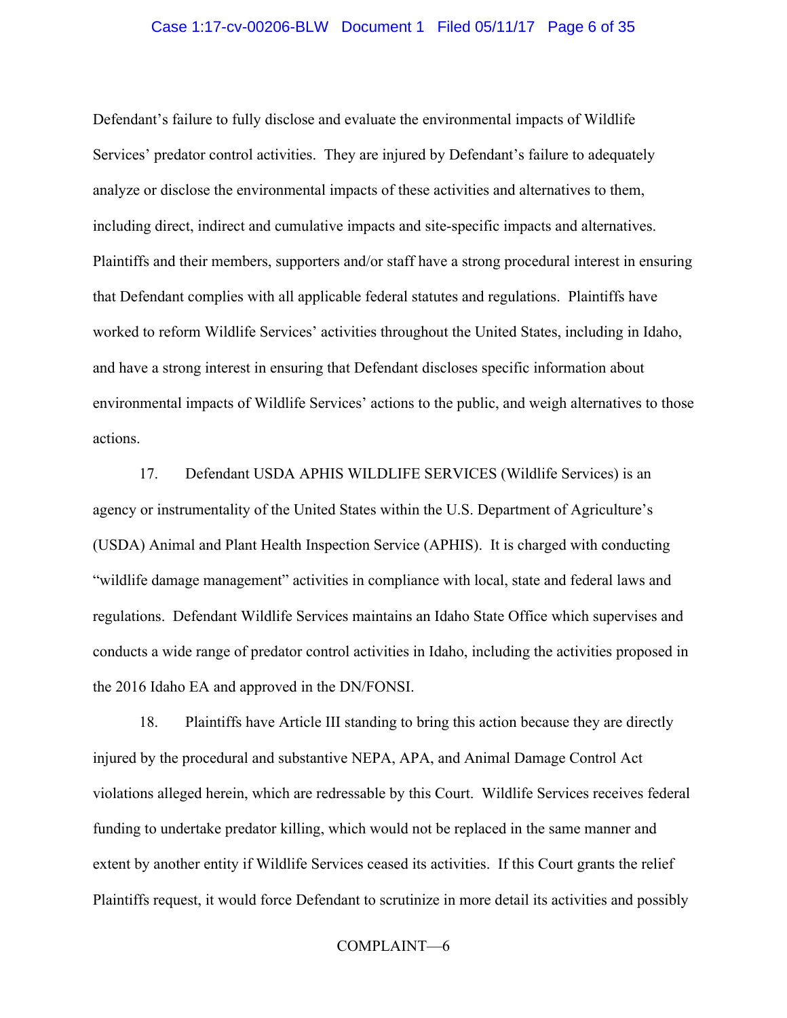### Case 1:17-cv-00206-BLW Document 1 Filed 05/11/17 Page 6 of 35

Defendant's failure to fully disclose and evaluate the environmental impacts of Wildlife Services' predator control activities. They are injured by Defendant's failure to adequately analyze or disclose the environmental impacts of these activities and alternatives to them, including direct, indirect and cumulative impacts and site-specific impacts and alternatives. Plaintiffs and their members, supporters and/or staff have a strong procedural interest in ensuring that Defendant complies with all applicable federal statutes and regulations. Plaintiffs have worked to reform Wildlife Services' activities throughout the United States, including in Idaho, and have a strong interest in ensuring that Defendant discloses specific information about environmental impacts of Wildlife Services' actions to the public, and weigh alternatives to those actions.

17. Defendant USDA APHIS WILDLIFE SERVICES (Wildlife Services) is an agency or instrumentality of the United States within the U.S. Department of Agriculture's (USDA) Animal and Plant Health Inspection Service (APHIS). It is charged with conducting "wildlife damage management" activities in compliance with local, state and federal laws and regulations. Defendant Wildlife Services maintains an Idaho State Office which supervises and conducts a wide range of predator control activities in Idaho, including the activities proposed in the 2016 Idaho EA and approved in the DN/FONSI.

18. Plaintiffs have Article III standing to bring this action because they are directly injured by the procedural and substantive NEPA, APA, and Animal Damage Control Act violations alleged herein, which are redressable by this Court. Wildlife Services receives federal funding to undertake predator killing, which would not be replaced in the same manner and extent by another entity if Wildlife Services ceased its activities. If this Court grants the relief Plaintiffs request, it would force Defendant to scrutinize in more detail its activities and possibly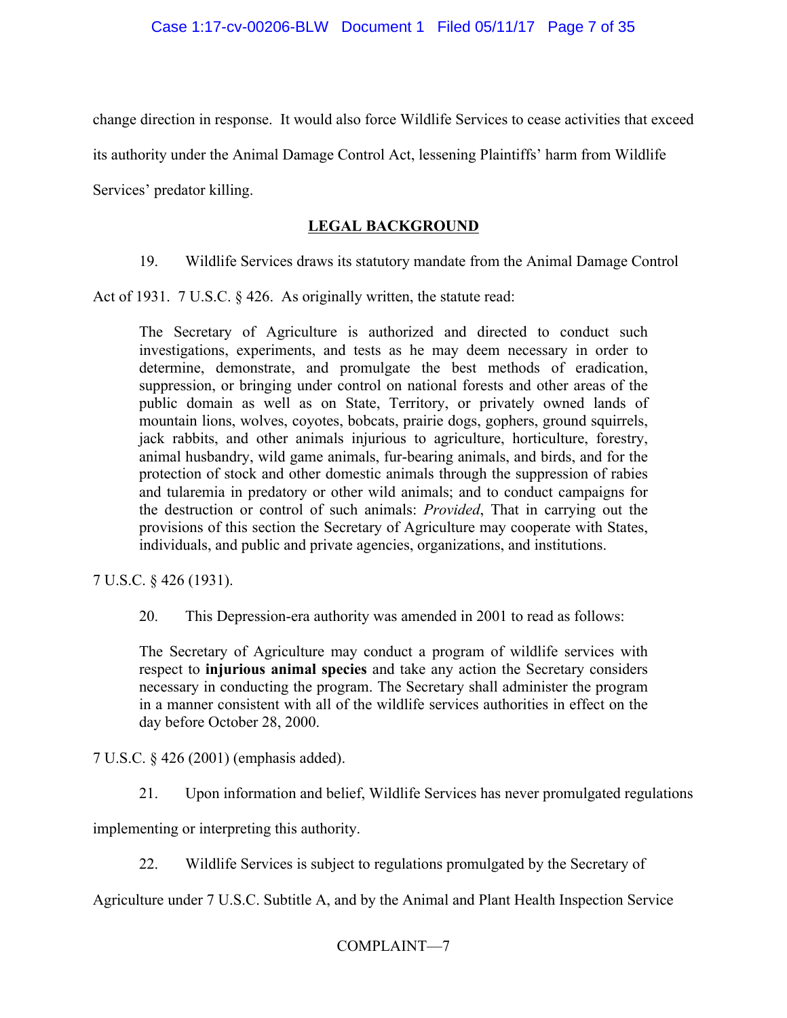change direction in response. It would also force Wildlife Services to cease activities that exceed

its authority under the Animal Damage Control Act, lessening Plaintiffs' harm from Wildlife

Services' predator killing.

# **LEGAL BACKGROUND**

19. Wildlife Services draws its statutory mandate from the Animal Damage Control

Act of 1931. 7 U.S.C. § 426. As originally written, the statute read:

The Secretary of Agriculture is authorized and directed to conduct such investigations, experiments, and tests as he may deem necessary in order to determine, demonstrate, and promulgate the best methods of eradication, suppression, or bringing under control on national forests and other areas of the public domain as well as on State, Territory, or privately owned lands of mountain lions, wolves, coyotes, bobcats, prairie dogs, gophers, ground squirrels, jack rabbits, and other animals injurious to agriculture, horticulture, forestry, animal husbandry, wild game animals, fur-bearing animals, and birds, and for the protection of stock and other domestic animals through the suppression of rabies and tularemia in predatory or other wild animals; and to conduct campaigns for the destruction or control of such animals: *Provided*, That in carrying out the provisions of this section the Secretary of Agriculture may cooperate with States, individuals, and public and private agencies, organizations, and institutions.

7 U.S.C. § 426 (1931).

20. This Depression-era authority was amended in 2001 to read as follows:

The Secretary of Agriculture may conduct a program of wildlife services with respect to **injurious animal species** and take any action the Secretary considers necessary in conducting the program. The Secretary shall administer the program in a manner consistent with all of the wildlife services authorities in effect on the day before October 28, 2000.

7 U.S.C. § 426 (2001) (emphasis added).

21. Upon information and belief, Wildlife Services has never promulgated regulations

implementing or interpreting this authority.

22. Wildlife Services is subject to regulations promulgated by the Secretary of

Agriculture under 7 U.S.C. Subtitle A, and by the Animal and Plant Health Inspection Service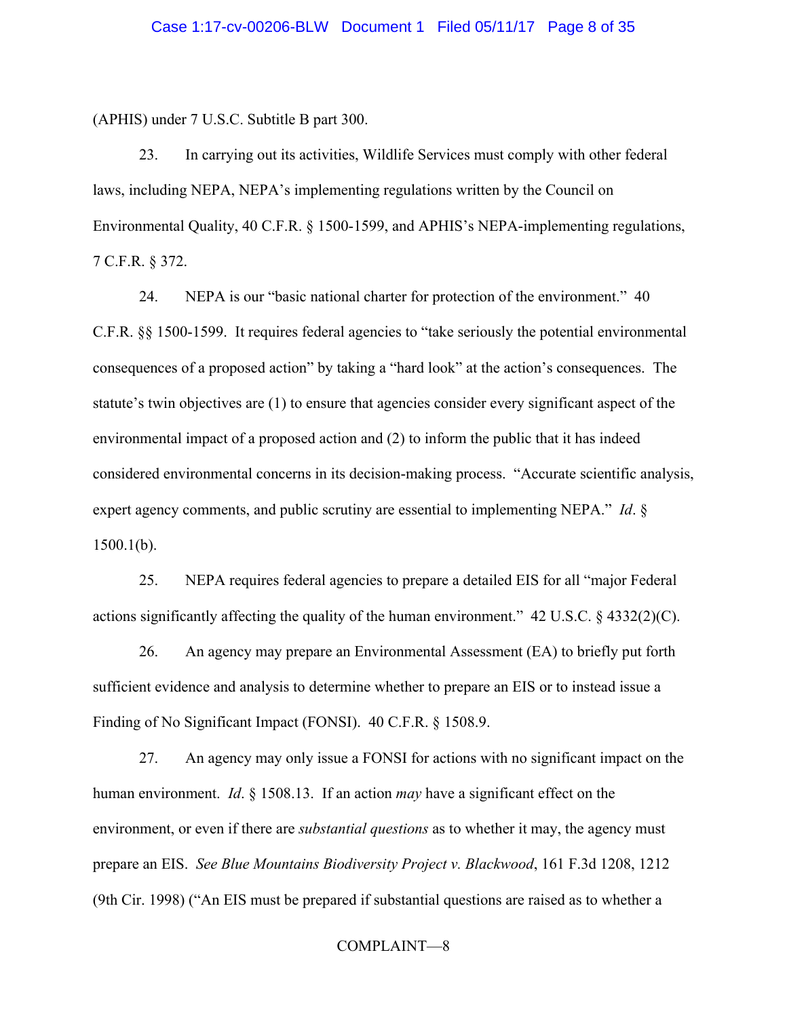(APHIS) under 7 U.S.C. Subtitle B part 300.

23. In carrying out its activities, Wildlife Services must comply with other federal laws, including NEPA, NEPA's implementing regulations written by the Council on Environmental Quality, 40 C.F.R. § 1500-1599, and APHIS's NEPA-implementing regulations, 7 C.F.R. § 372.

24. NEPA is our "basic national charter for protection of the environment." 40 C.F.R. §§ 1500-1599. It requires federal agencies to "take seriously the potential environmental consequences of a proposed action" by taking a "hard look" at the action's consequences. The statute's twin objectives are (1) to ensure that agencies consider every significant aspect of the environmental impact of a proposed action and (2) to inform the public that it has indeed considered environmental concerns in its decision-making process. "Accurate scientific analysis, expert agency comments, and public scrutiny are essential to implementing NEPA." *Id*. §  $1500.1(b)$ .

25. NEPA requires federal agencies to prepare a detailed EIS for all "major Federal actions significantly affecting the quality of the human environment." 42 U.S.C. § 4332(2)(C).

26. An agency may prepare an Environmental Assessment (EA) to briefly put forth sufficient evidence and analysis to determine whether to prepare an EIS or to instead issue a Finding of No Significant Impact (FONSI). 40 C.F.R. § 1508.9.

27. An agency may only issue a FONSI for actions with no significant impact on the human environment. *Id*. § 1508.13. If an action *may* have a significant effect on the environment, or even if there are *substantial questions* as to whether it may, the agency must prepare an EIS. *See Blue Mountains Biodiversity Project v. Blackwood*, 161 F.3d 1208, 1212 (9th Cir. 1998) ("An EIS must be prepared if substantial questions are raised as to whether a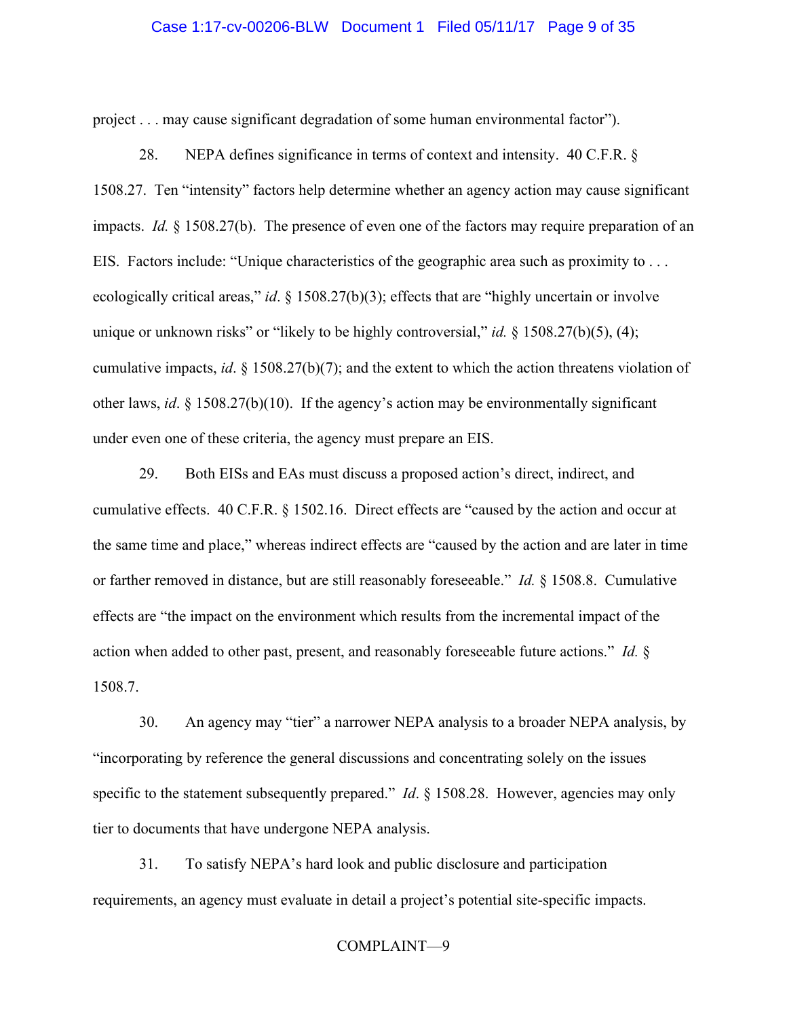### Case 1:17-cv-00206-BLW Document 1 Filed 05/11/17 Page 9 of 35

project . . . may cause significant degradation of some human environmental factor").

28. NEPA defines significance in terms of context and intensity. 40 C.F.R. § 1508.27. Ten "intensity" factors help determine whether an agency action may cause significant impacts. *Id.* § 1508.27(b). The presence of even one of the factors may require preparation of an EIS. Factors include: "Unique characteristics of the geographic area such as proximity to . . . ecologically critical areas," *id*. § 1508.27(b)(3); effects that are "highly uncertain or involve unique or unknown risks" or "likely to be highly controversial," *id.* § 1508.27(b)(5), (4); cumulative impacts, *id*. § 1508.27(b)(7); and the extent to which the action threatens violation of other laws, *id*. § 1508.27(b)(10). If the agency's action may be environmentally significant under even one of these criteria, the agency must prepare an EIS.

29. Both EISs and EAs must discuss a proposed action's direct, indirect, and cumulative effects. 40 C.F.R. § 1502.16. Direct effects are "caused by the action and occur at the same time and place," whereas indirect effects are "caused by the action and are later in time or farther removed in distance, but are still reasonably foreseeable." *Id.* § 1508.8. Cumulative effects are "the impact on the environment which results from the incremental impact of the action when added to other past, present, and reasonably foreseeable future actions." *Id.* § 1508.7.

30. An agency may "tier" a narrower NEPA analysis to a broader NEPA analysis, by "incorporating by reference the general discussions and concentrating solely on the issues specific to the statement subsequently prepared." *Id.* § 1508.28. However, agencies may only tier to documents that have undergone NEPA analysis.

31. To satisfy NEPA's hard look and public disclosure and participation requirements, an agency must evaluate in detail a project's potential site-specific impacts.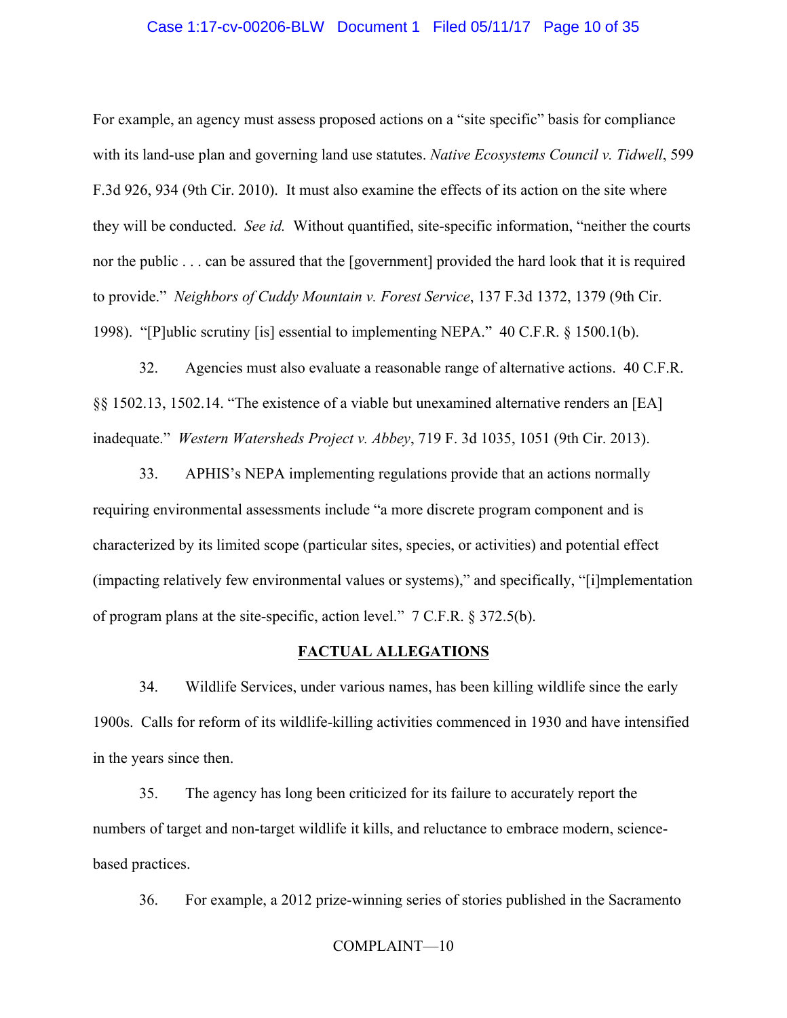### Case 1:17-cv-00206-BLW Document 1 Filed 05/11/17 Page 10 of 35

For example, an agency must assess proposed actions on a "site specific" basis for compliance with its land-use plan and governing land use statutes. *Native Ecosystems Council v. Tidwell*, 599 F.3d 926, 934 (9th Cir. 2010). It must also examine the effects of its action on the site where they will be conducted. *See id.* Without quantified, site-specific information, "neither the courts nor the public . . . can be assured that the [government] provided the hard look that it is required to provide." *Neighbors of Cuddy Mountain v. Forest Service*, 137 F.3d 1372, 1379 (9th Cir. 1998). "[P]ublic scrutiny [is] essential to implementing NEPA." 40 C.F.R. § 1500.1(b).

32. Agencies must also evaluate a reasonable range of alternative actions. 40 C.F.R. §§ 1502.13, 1502.14. "The existence of a viable but unexamined alternative renders an [EA] inadequate." *Western Watersheds Project v. Abbey*, 719 F. 3d 1035, 1051 (9th Cir. 2013).

33. APHIS's NEPA implementing regulations provide that an actions normally requiring environmental assessments include "a more discrete program component and is characterized by its limited scope (particular sites, species, or activities) and potential effect (impacting relatively few environmental values or systems)," and specifically, "[i]mplementation of program plans at the site-specific, action level." 7 C.F.R. § 372.5(b).

### **FACTUAL ALLEGATIONS**

34. Wildlife Services, under various names, has been killing wildlife since the early 1900s. Calls for reform of its wildlife-killing activities commenced in 1930 and have intensified in the years since then.

35. The agency has long been criticized for its failure to accurately report the numbers of target and non-target wildlife it kills, and reluctance to embrace modern, sciencebased practices.

36. For example, a 2012 prize-winning series of stories published in the Sacramento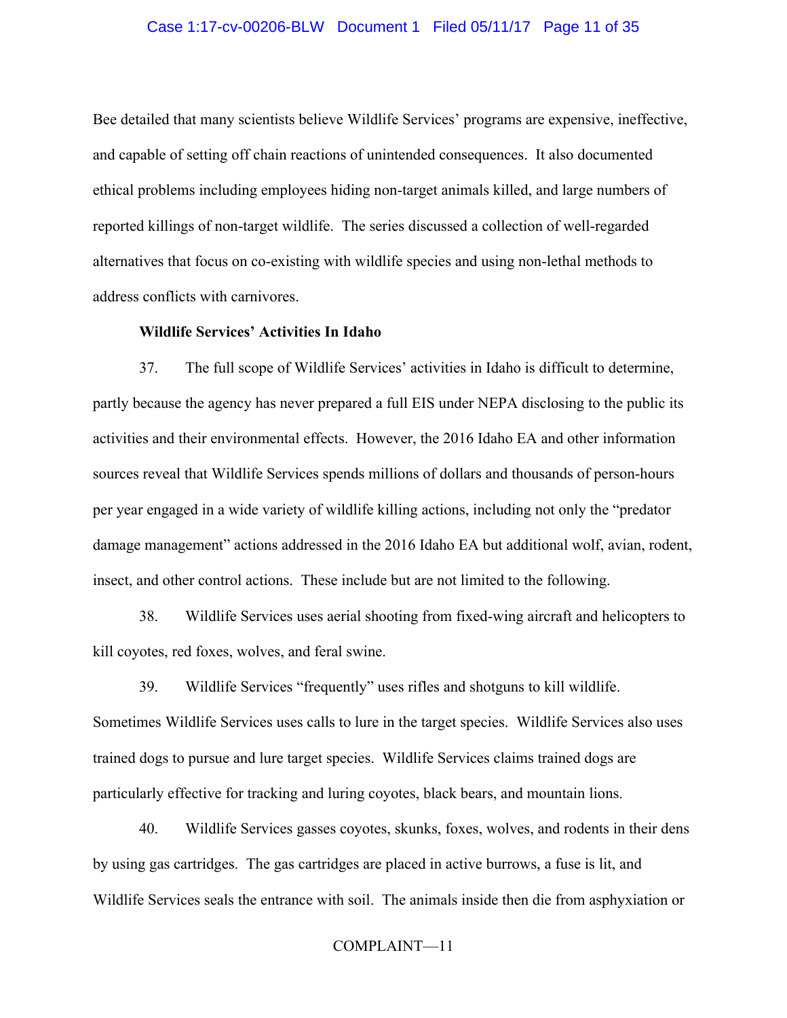### Case 1:17-cv-00206-BLW Document 1 Filed 05/11/17 Page 11 of 35

Bee detailed that many scientists believe Wildlife Services' programs are expensive, ineffective, and capable of setting off chain reactions of unintended consequences. It also documented ethical problems including employees hiding non-target animals killed, and large numbers of reported killings of non-target wildlife. The series discussed a collection of well-regarded alternatives that focus on co-existing with wildlife species and using non-lethal methods to address conflicts with carnivores.

# **Wildlife Services' Activities In Idaho**

37. The full scope of Wildlife Services' activities in Idaho is difficult to determine, partly because the agency has never prepared a full EIS under NEPA disclosing to the public its activities and their environmental effects. However, the 2016 Idaho EA and other information sources reveal that Wildlife Services spends millions of dollars and thousands of person-hours per year engaged in a wide variety of wildlife killing actions, including not only the "predator damage management" actions addressed in the 2016 Idaho EA but additional wolf, avian, rodent, insect, and other control actions. These include but are not limited to the following.

38. Wildlife Services uses aerial shooting from fixed-wing aircraft and helicopters to kill coyotes, red foxes, wolves, and feral swine.

39. Wildlife Services "frequently" uses rifles and shotguns to kill wildlife. Sometimes Wildlife Services uses calls to lure in the target species. Wildlife Services also uses trained dogs to pursue and lure target species. Wildlife Services claims trained dogs are particularly effective for tracking and luring coyotes, black bears, and mountain lions.

40. Wildlife Services gasses coyotes, skunks, foxes, wolves, and rodents in their dens by using gas cartridges. The gas cartridges are placed in active burrows, a fuse is lit, and Wildlife Services seals the entrance with soil. The animals inside then die from asphyxiation or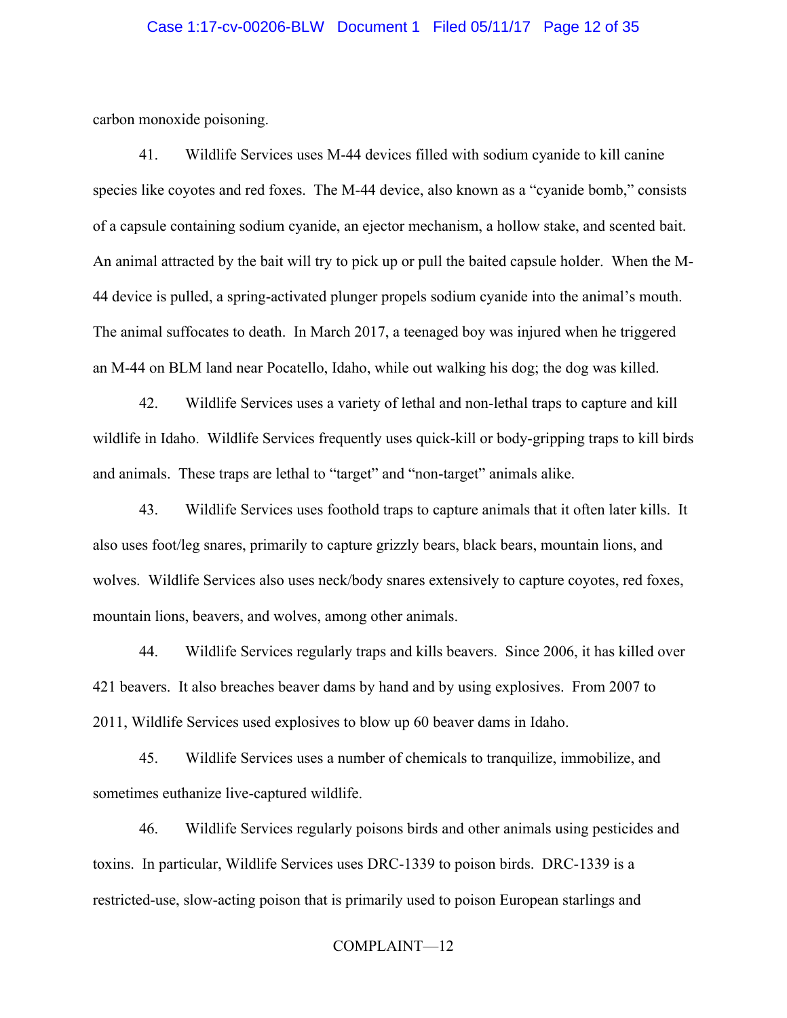### Case 1:17-cv-00206-BLW Document 1 Filed 05/11/17 Page 12 of 35

carbon monoxide poisoning.

41. Wildlife Services uses M-44 devices filled with sodium cyanide to kill canine species like coyotes and red foxes. The M-44 device, also known as a "cyanide bomb," consists of a capsule containing sodium cyanide, an ejector mechanism, a hollow stake, and scented bait. An animal attracted by the bait will try to pick up or pull the baited capsule holder. When the M-44 device is pulled, a spring-activated plunger propels sodium cyanide into the animal's mouth. The animal suffocates to death. In March 2017, a teenaged boy was injured when he triggered an M-44 on BLM land near Pocatello, Idaho, while out walking his dog; the dog was killed.

42. Wildlife Services uses a variety of lethal and non-lethal traps to capture and kill wildlife in Idaho. Wildlife Services frequently uses quick-kill or body-gripping traps to kill birds and animals. These traps are lethal to "target" and "non-target" animals alike.

43. Wildlife Services uses foothold traps to capture animals that it often later kills. It also uses foot/leg snares, primarily to capture grizzly bears, black bears, mountain lions, and wolves. Wildlife Services also uses neck/body snares extensively to capture coyotes, red foxes, mountain lions, beavers, and wolves, among other animals.

44. Wildlife Services regularly traps and kills beavers. Since 2006, it has killed over 421 beavers. It also breaches beaver dams by hand and by using explosives. From 2007 to 2011, Wildlife Services used explosives to blow up 60 beaver dams in Idaho.

45. Wildlife Services uses a number of chemicals to tranquilize, immobilize, and sometimes euthanize live-captured wildlife.

46. Wildlife Services regularly poisons birds and other animals using pesticides and toxins. In particular, Wildlife Services uses DRC-1339 to poison birds. DRC-1339 is a restricted-use, slow-acting poison that is primarily used to poison European starlings and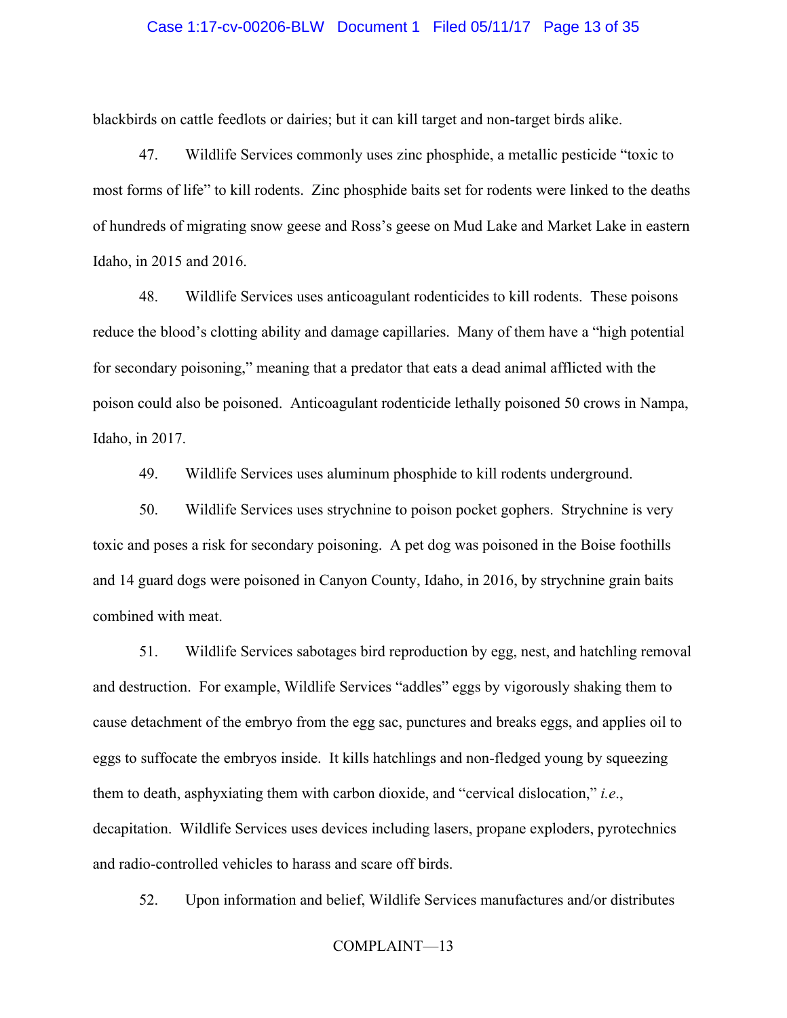### Case 1:17-cv-00206-BLW Document 1 Filed 05/11/17 Page 13 of 35

blackbirds on cattle feedlots or dairies; but it can kill target and non-target birds alike.

47. Wildlife Services commonly uses zinc phosphide, a metallic pesticide "toxic to most forms of life" to kill rodents. Zinc phosphide baits set for rodents were linked to the deaths of hundreds of migrating snow geese and Ross's geese on Mud Lake and Market Lake in eastern Idaho, in 2015 and 2016.

48. Wildlife Services uses anticoagulant rodenticides to kill rodents. These poisons reduce the blood's clotting ability and damage capillaries. Many of them have a "high potential for secondary poisoning," meaning that a predator that eats a dead animal afflicted with the poison could also be poisoned. Anticoagulant rodenticide lethally poisoned 50 crows in Nampa, Idaho, in 2017.

49. Wildlife Services uses aluminum phosphide to kill rodents underground.

50. Wildlife Services uses strychnine to poison pocket gophers. Strychnine is very toxic and poses a risk for secondary poisoning. A pet dog was poisoned in the Boise foothills and 14 guard dogs were poisoned in Canyon County, Idaho, in 2016, by strychnine grain baits combined with meat.

51. Wildlife Services sabotages bird reproduction by egg, nest, and hatchling removal and destruction. For example, Wildlife Services "addles" eggs by vigorously shaking them to cause detachment of the embryo from the egg sac, punctures and breaks eggs, and applies oil to eggs to suffocate the embryos inside. It kills hatchlings and non-fledged young by squeezing them to death, asphyxiating them with carbon dioxide, and "cervical dislocation," *i.e*., decapitation. Wildlife Services uses devices including lasers, propane exploders, pyrotechnics and radio-controlled vehicles to harass and scare off birds.

52. Upon information and belief, Wildlife Services manufactures and/or distributes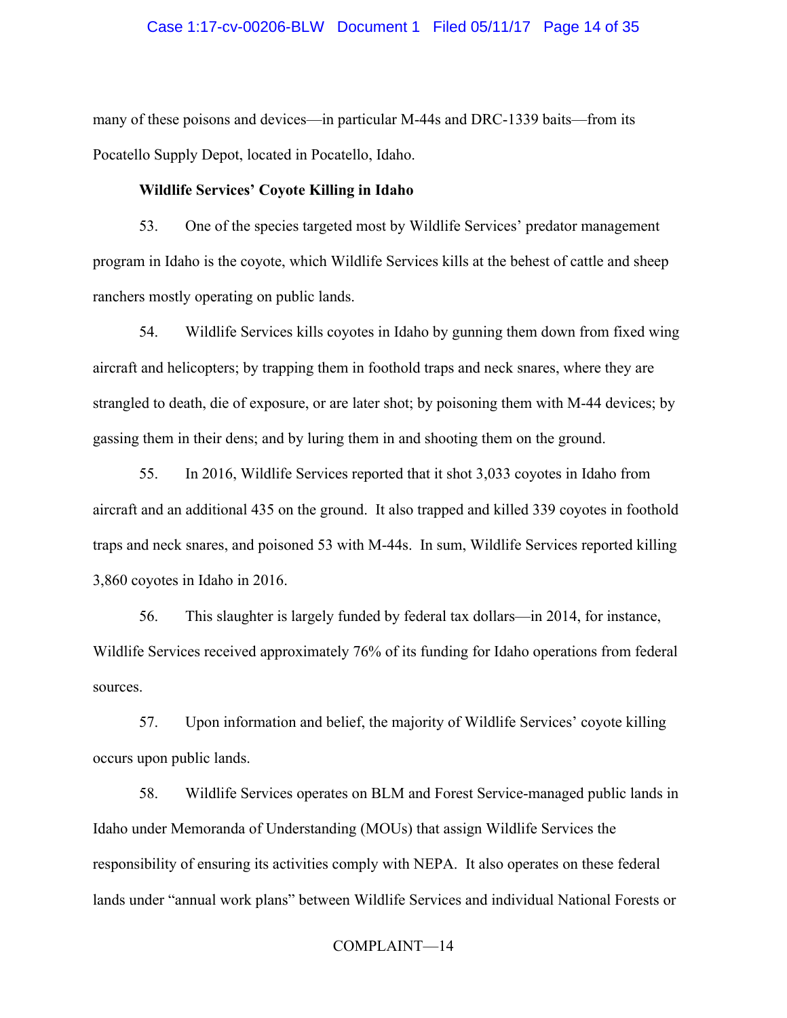### Case 1:17-cv-00206-BLW Document 1 Filed 05/11/17 Page 14 of 35

many of these poisons and devices—in particular M-44s and DRC-1339 baits—from its Pocatello Supply Depot, located in Pocatello, Idaho.

# **Wildlife Services' Coyote Killing in Idaho**

53. One of the species targeted most by Wildlife Services' predator management program in Idaho is the coyote, which Wildlife Services kills at the behest of cattle and sheep ranchers mostly operating on public lands.

54. Wildlife Services kills coyotes in Idaho by gunning them down from fixed wing aircraft and helicopters; by trapping them in foothold traps and neck snares, where they are strangled to death, die of exposure, or are later shot; by poisoning them with M-44 devices; by gassing them in their dens; and by luring them in and shooting them on the ground.

55. In 2016, Wildlife Services reported that it shot 3,033 coyotes in Idaho from aircraft and an additional 435 on the ground. It also trapped and killed 339 coyotes in foothold traps and neck snares, and poisoned 53 with M-44s. In sum, Wildlife Services reported killing 3,860 coyotes in Idaho in 2016.

56. This slaughter is largely funded by federal tax dollars—in 2014, for instance, Wildlife Services received approximately 76% of its funding for Idaho operations from federal sources.

57. Upon information and belief, the majority of Wildlife Services' coyote killing occurs upon public lands.

58. Wildlife Services operates on BLM and Forest Service-managed public lands in Idaho under Memoranda of Understanding (MOUs) that assign Wildlife Services the responsibility of ensuring its activities comply with NEPA. It also operates on these federal lands under "annual work plans" between Wildlife Services and individual National Forests or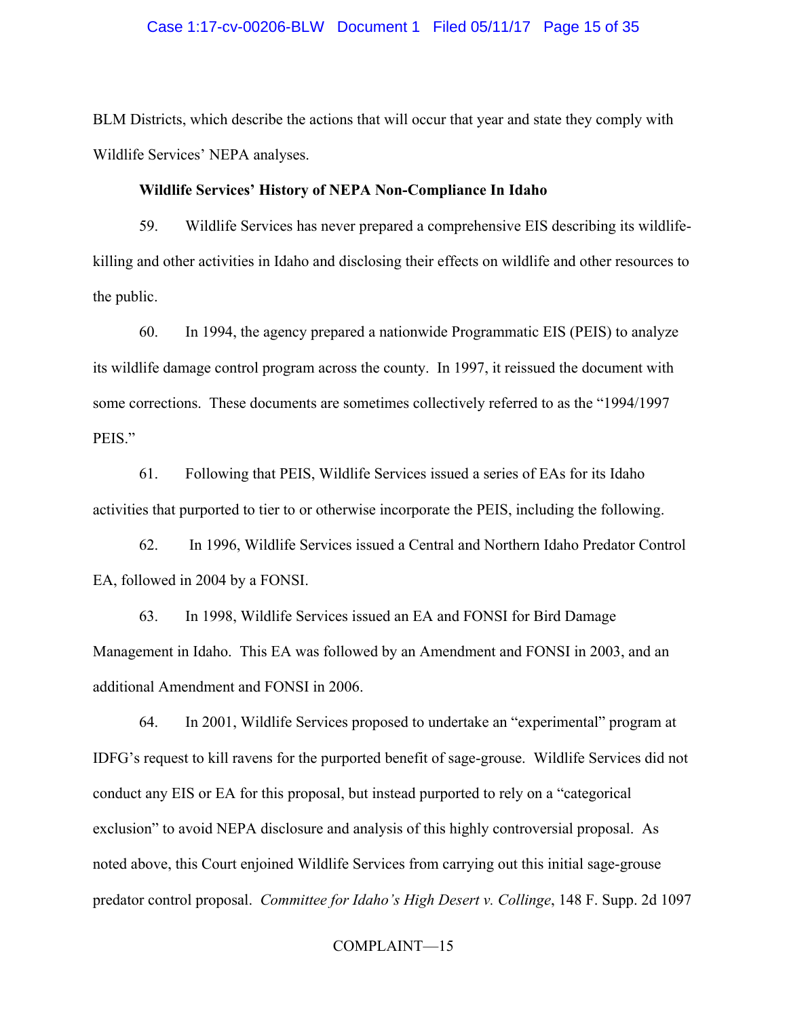### Case 1:17-cv-00206-BLW Document 1 Filed 05/11/17 Page 15 of 35

BLM Districts, which describe the actions that will occur that year and state they comply with Wildlife Services' NEPA analyses.

# **Wildlife Services' History of NEPA Non-Compliance In Idaho**

59. Wildlife Services has never prepared a comprehensive EIS describing its wildlifekilling and other activities in Idaho and disclosing their effects on wildlife and other resources to the public.

60. In 1994, the agency prepared a nationwide Programmatic EIS (PEIS) to analyze its wildlife damage control program across the county. In 1997, it reissued the document with some corrections. These documents are sometimes collectively referred to as the "1994/1997 PEIS."

61. Following that PEIS, Wildlife Services issued a series of EAs for its Idaho activities that purported to tier to or otherwise incorporate the PEIS, including the following.

62. In 1996, Wildlife Services issued a Central and Northern Idaho Predator Control EA, followed in 2004 by a FONSI.

63. In 1998, Wildlife Services issued an EA and FONSI for Bird Damage Management in Idaho. This EA was followed by an Amendment and FONSI in 2003, and an additional Amendment and FONSI in 2006.

64. In 2001, Wildlife Services proposed to undertake an "experimental" program at IDFG's request to kill ravens for the purported benefit of sage-grouse. Wildlife Services did not conduct any EIS or EA for this proposal, but instead purported to rely on a "categorical exclusion" to avoid NEPA disclosure and analysis of this highly controversial proposal. As noted above, this Court enjoined Wildlife Services from carrying out this initial sage-grouse predator control proposal. *Committee for Idaho's High Desert v. Collinge*, 148 F. Supp. 2d 1097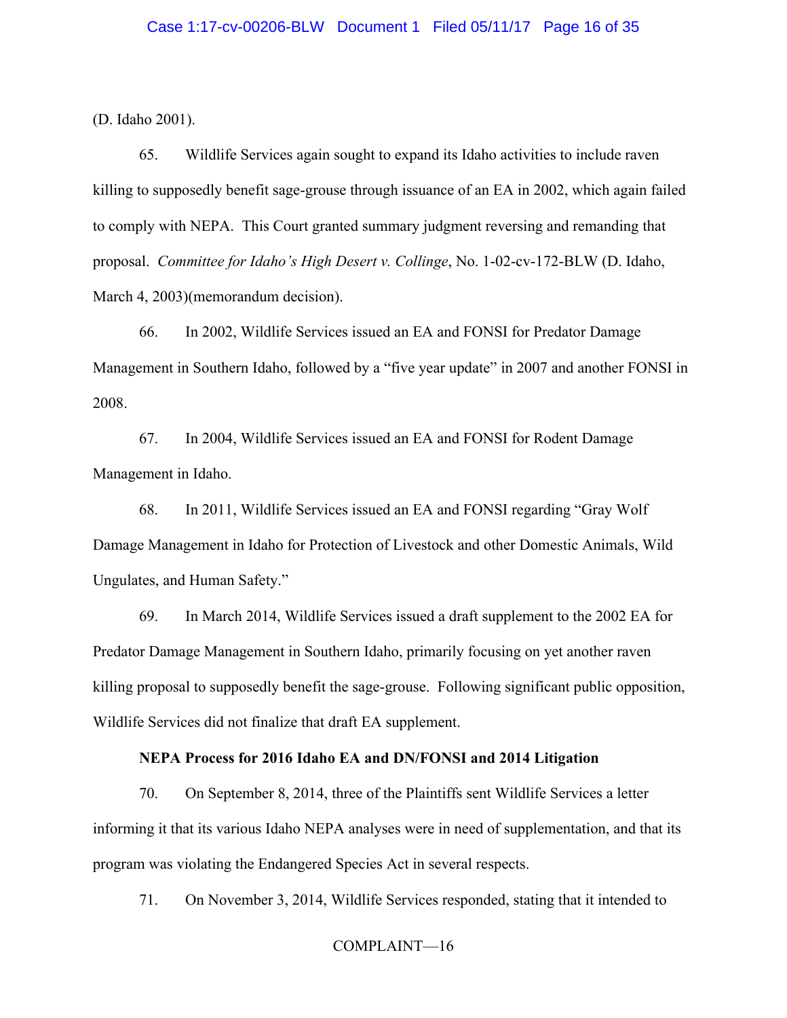(D. Idaho 2001).

65. Wildlife Services again sought to expand its Idaho activities to include raven killing to supposedly benefit sage-grouse through issuance of an EA in 2002, which again failed to comply with NEPA. This Court granted summary judgment reversing and remanding that proposal. *Committee for Idaho's High Desert v. Collinge*, No. 1-02-cv-172-BLW (D. Idaho, March 4, 2003)(memorandum decision).

66. In 2002, Wildlife Services issued an EA and FONSI for Predator Damage Management in Southern Idaho, followed by a "five year update" in 2007 and another FONSI in 2008.

67. In 2004, Wildlife Services issued an EA and FONSI for Rodent Damage Management in Idaho.

68. In 2011, Wildlife Services issued an EA and FONSI regarding "Gray Wolf Damage Management in Idaho for Protection of Livestock and other Domestic Animals, Wild Ungulates, and Human Safety."

69. In March 2014, Wildlife Services issued a draft supplement to the 2002 EA for Predator Damage Management in Southern Idaho, primarily focusing on yet another raven killing proposal to supposedly benefit the sage-grouse. Following significant public opposition, Wildlife Services did not finalize that draft EA supplement.

### **NEPA Process for 2016 Idaho EA and DN/FONSI and 2014 Litigation**

70. On September 8, 2014, three of the Plaintiffs sent Wildlife Services a letter informing it that its various Idaho NEPA analyses were in need of supplementation, and that its program was violating the Endangered Species Act in several respects.

71. On November 3, 2014, Wildlife Services responded, stating that it intended to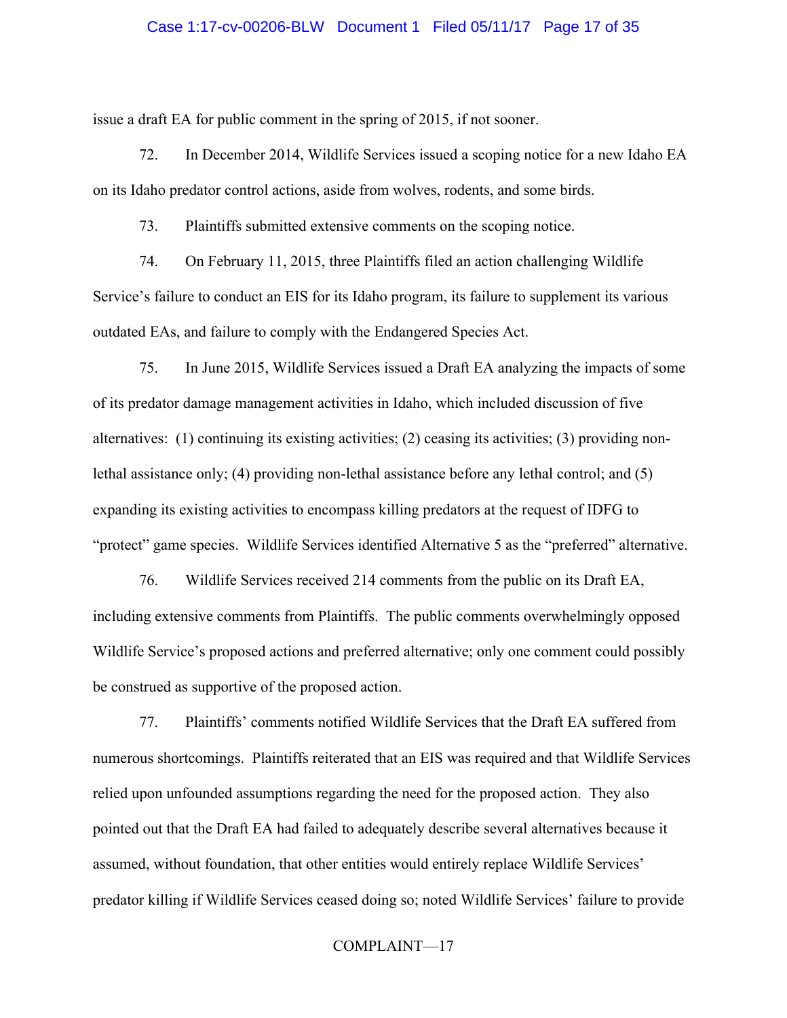### Case 1:17-cv-00206-BLW Document 1 Filed 05/11/17 Page 17 of 35

issue a draft EA for public comment in the spring of 2015, if not sooner.

72. In December 2014, Wildlife Services issued a scoping notice for a new Idaho EA on its Idaho predator control actions, aside from wolves, rodents, and some birds.

73. Plaintiffs submitted extensive comments on the scoping notice.

74. On February 11, 2015, three Plaintiffs filed an action challenging Wildlife Service's failure to conduct an EIS for its Idaho program, its failure to supplement its various outdated EAs, and failure to comply with the Endangered Species Act.

75. In June 2015, Wildlife Services issued a Draft EA analyzing the impacts of some of its predator damage management activities in Idaho, which included discussion of five alternatives: (1) continuing its existing activities; (2) ceasing its activities; (3) providing nonlethal assistance only; (4) providing non-lethal assistance before any lethal control; and (5) expanding its existing activities to encompass killing predators at the request of IDFG to "protect" game species. Wildlife Services identified Alternative 5 as the "preferred" alternative.

76. Wildlife Services received 214 comments from the public on its Draft EA, including extensive comments from Plaintiffs. The public comments overwhelmingly opposed Wildlife Service's proposed actions and preferred alternative; only one comment could possibly be construed as supportive of the proposed action.

77. Plaintiffs' comments notified Wildlife Services that the Draft EA suffered from numerous shortcomings. Plaintiffs reiterated that an EIS was required and that Wildlife Services relied upon unfounded assumptions regarding the need for the proposed action. They also pointed out that the Draft EA had failed to adequately describe several alternatives because it assumed, without foundation, that other entities would entirely replace Wildlife Services' predator killing if Wildlife Services ceased doing so; noted Wildlife Services' failure to provide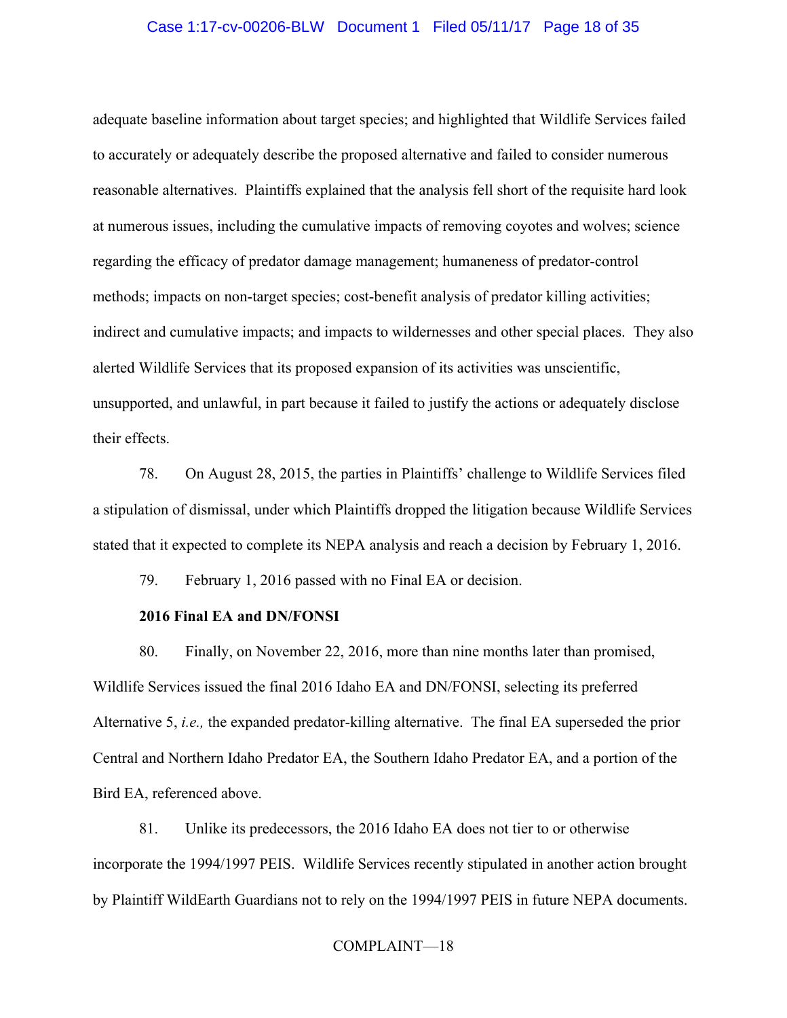### Case 1:17-cv-00206-BLW Document 1 Filed 05/11/17 Page 18 of 35

adequate baseline information about target species; and highlighted that Wildlife Services failed to accurately or adequately describe the proposed alternative and failed to consider numerous reasonable alternatives. Plaintiffs explained that the analysis fell short of the requisite hard look at numerous issues, including the cumulative impacts of removing coyotes and wolves; science regarding the efficacy of predator damage management; humaneness of predator-control methods; impacts on non-target species; cost-benefit analysis of predator killing activities; indirect and cumulative impacts; and impacts to wildernesses and other special places. They also alerted Wildlife Services that its proposed expansion of its activities was unscientific, unsupported, and unlawful, in part because it failed to justify the actions or adequately disclose their effects.

78. On August 28, 2015, the parties in Plaintiffs' challenge to Wildlife Services filed a stipulation of dismissal, under which Plaintiffs dropped the litigation because Wildlife Services stated that it expected to complete its NEPA analysis and reach a decision by February 1, 2016.

79. February 1, 2016 passed with no Final EA or decision.

# **2016 Final EA and DN/FONSI**

80. Finally, on November 22, 2016, more than nine months later than promised, Wildlife Services issued the final 2016 Idaho EA and DN/FONSI, selecting its preferred Alternative 5, *i.e.,* the expanded predator-killing alternative. The final EA superseded the prior Central and Northern Idaho Predator EA, the Southern Idaho Predator EA, and a portion of the Bird EA, referenced above.

81. Unlike its predecessors, the 2016 Idaho EA does not tier to or otherwise incorporate the 1994/1997 PEIS. Wildlife Services recently stipulated in another action brought by Plaintiff WildEarth Guardians not to rely on the 1994/1997 PEIS in future NEPA documents.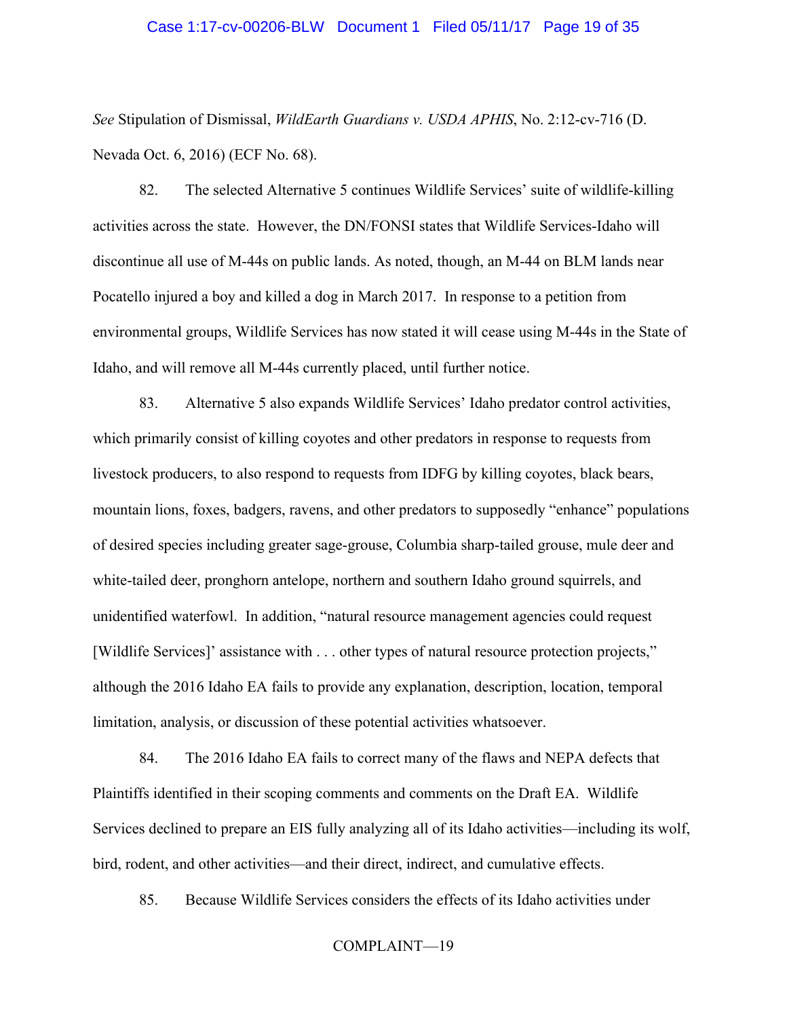### Case 1:17-cv-00206-BLW Document 1 Filed 05/11/17 Page 19 of 35

*See* Stipulation of Dismissal, *WildEarth Guardians v. USDA APHIS*, No. 2:12-cv-716 (D. Nevada Oct. 6, 2016) (ECF No. 68).

82. The selected Alternative 5 continues Wildlife Services' suite of wildlife-killing activities across the state. However, the DN/FONSI states that Wildlife Services-Idaho will discontinue all use of M-44s on public lands. As noted, though, an M-44 on BLM lands near Pocatello injured a boy and killed a dog in March 2017. In response to a petition from environmental groups, Wildlife Services has now stated it will cease using M-44s in the State of Idaho, and will remove all M-44s currently placed, until further notice.

83. Alternative 5 also expands Wildlife Services' Idaho predator control activities, which primarily consist of killing coyotes and other predators in response to requests from livestock producers, to also respond to requests from IDFG by killing coyotes, black bears, mountain lions, foxes, badgers, ravens, and other predators to supposedly "enhance" populations of desired species including greater sage-grouse, Columbia sharp-tailed grouse, mule deer and white-tailed deer, pronghorn antelope, northern and southern Idaho ground squirrels, and unidentified waterfowl. In addition, "natural resource management agencies could request [Wildlife Services]' assistance with . . . other types of natural resource protection projects," although the 2016 Idaho EA fails to provide any explanation, description, location, temporal limitation, analysis, or discussion of these potential activities whatsoever.

84. The 2016 Idaho EA fails to correct many of the flaws and NEPA defects that Plaintiffs identified in their scoping comments and comments on the Draft EA. Wildlife Services declined to prepare an EIS fully analyzing all of its Idaho activities—including its wolf, bird, rodent, and other activities—and their direct, indirect, and cumulative effects.

85. Because Wildlife Services considers the effects of its Idaho activities under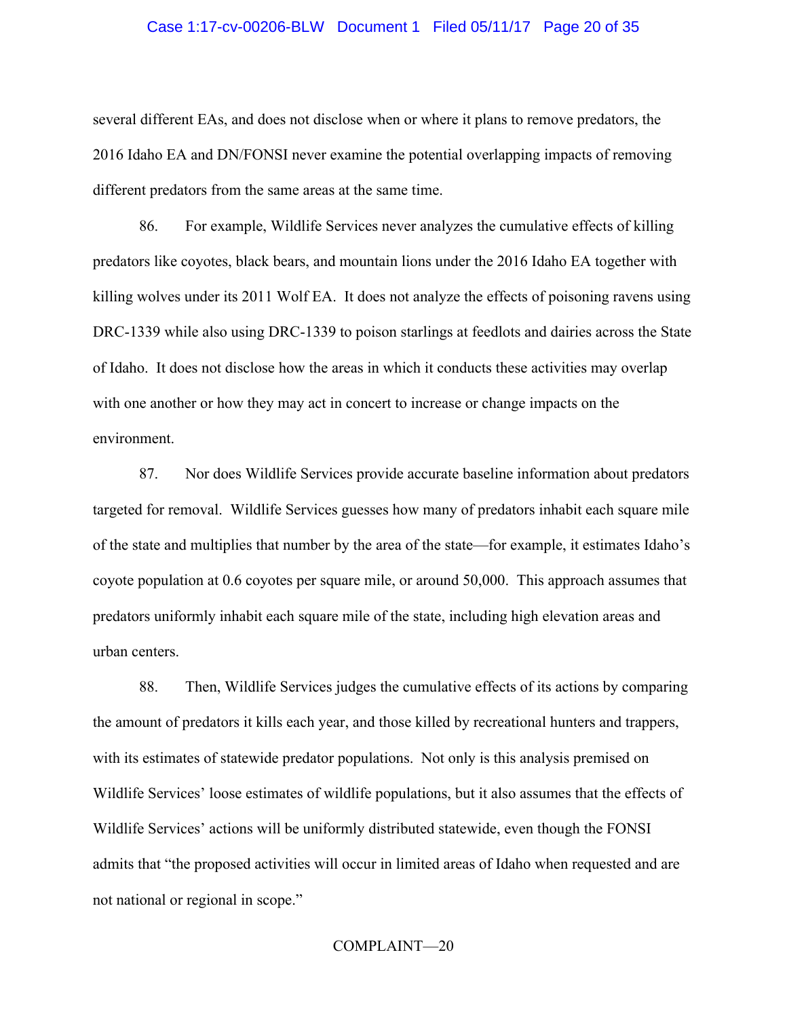### Case 1:17-cv-00206-BLW Document 1 Filed 05/11/17 Page 20 of 35

several different EAs, and does not disclose when or where it plans to remove predators, the 2016 Idaho EA and DN/FONSI never examine the potential overlapping impacts of removing different predators from the same areas at the same time.

86. For example, Wildlife Services never analyzes the cumulative effects of killing predators like coyotes, black bears, and mountain lions under the 2016 Idaho EA together with killing wolves under its 2011 Wolf EA. It does not analyze the effects of poisoning ravens using DRC-1339 while also using DRC-1339 to poison starlings at feedlots and dairies across the State of Idaho. It does not disclose how the areas in which it conducts these activities may overlap with one another or how they may act in concert to increase or change impacts on the environment.

87. Nor does Wildlife Services provide accurate baseline information about predators targeted for removal. Wildlife Services guesses how many of predators inhabit each square mile of the state and multiplies that number by the area of the state—for example, it estimates Idaho's coyote population at 0.6 coyotes per square mile, or around 50,000. This approach assumes that predators uniformly inhabit each square mile of the state, including high elevation areas and urban centers.

88. Then, Wildlife Services judges the cumulative effects of its actions by comparing the amount of predators it kills each year, and those killed by recreational hunters and trappers, with its estimates of statewide predator populations. Not only is this analysis premised on Wildlife Services' loose estimates of wildlife populations, but it also assumes that the effects of Wildlife Services' actions will be uniformly distributed statewide, even though the FONSI admits that "the proposed activities will occur in limited areas of Idaho when requested and are not national or regional in scope."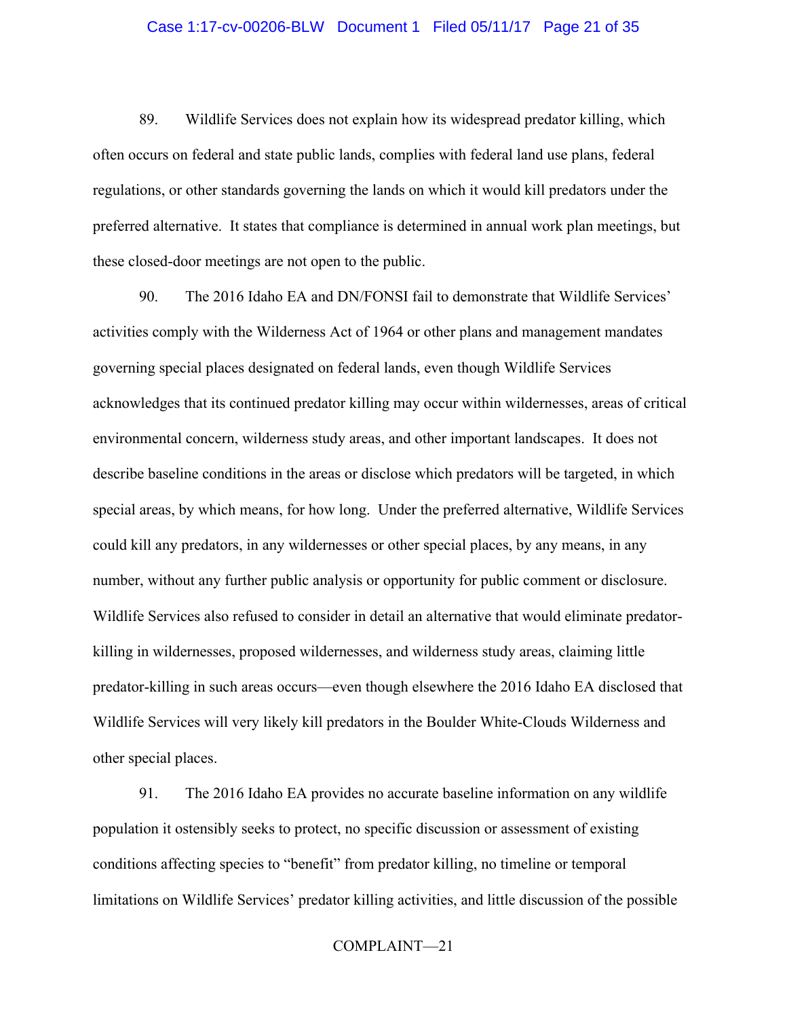### Case 1:17-cv-00206-BLW Document 1 Filed 05/11/17 Page 21 of 35

89. Wildlife Services does not explain how its widespread predator killing, which often occurs on federal and state public lands, complies with federal land use plans, federal regulations, or other standards governing the lands on which it would kill predators under the preferred alternative. It states that compliance is determined in annual work plan meetings, but these closed-door meetings are not open to the public.

90. The 2016 Idaho EA and DN/FONSI fail to demonstrate that Wildlife Services' activities comply with the Wilderness Act of 1964 or other plans and management mandates governing special places designated on federal lands, even though Wildlife Services acknowledges that its continued predator killing may occur within wildernesses, areas of critical environmental concern, wilderness study areas, and other important landscapes. It does not describe baseline conditions in the areas or disclose which predators will be targeted, in which special areas, by which means, for how long. Under the preferred alternative, Wildlife Services could kill any predators, in any wildernesses or other special places, by any means, in any number, without any further public analysis or opportunity for public comment or disclosure. Wildlife Services also refused to consider in detail an alternative that would eliminate predatorkilling in wildernesses, proposed wildernesses, and wilderness study areas, claiming little predator-killing in such areas occurs—even though elsewhere the 2016 Idaho EA disclosed that Wildlife Services will very likely kill predators in the Boulder White-Clouds Wilderness and other special places.

91. The 2016 Idaho EA provides no accurate baseline information on any wildlife population it ostensibly seeks to protect, no specific discussion or assessment of existing conditions affecting species to "benefit" from predator killing, no timeline or temporal limitations on Wildlife Services' predator killing activities, and little discussion of the possible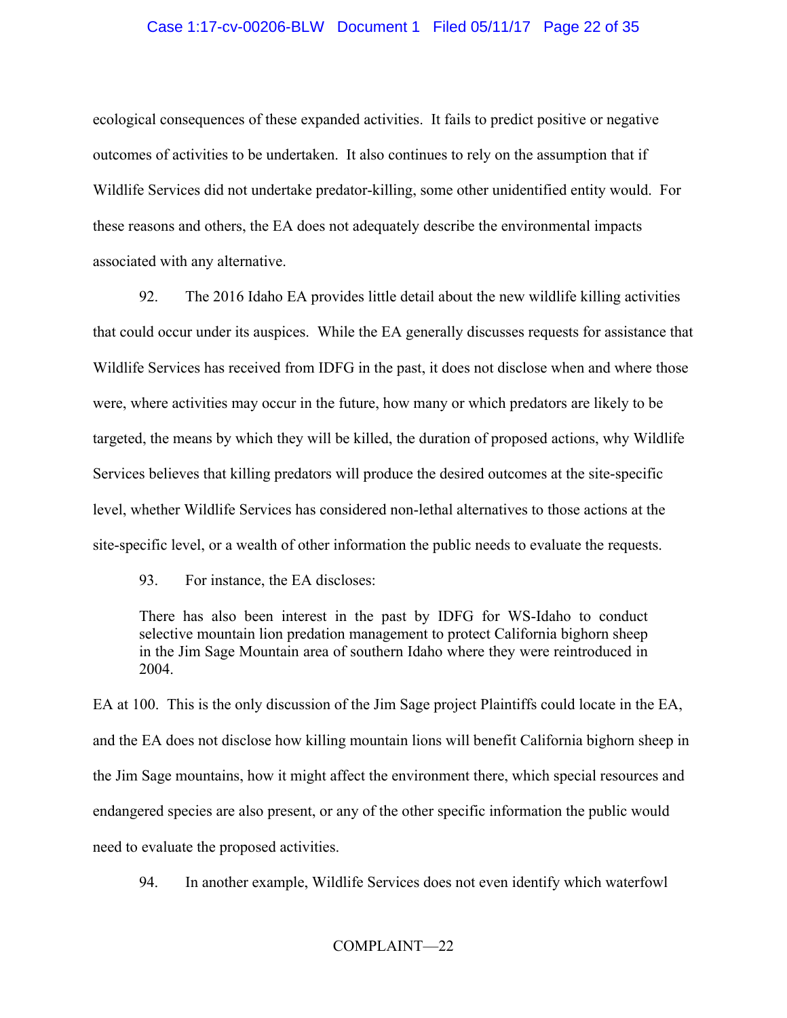# Case 1:17-cv-00206-BLW Document 1 Filed 05/11/17 Page 22 of 35

ecological consequences of these expanded activities. It fails to predict positive or negative outcomes of activities to be undertaken. It also continues to rely on the assumption that if Wildlife Services did not undertake predator-killing, some other unidentified entity would. For these reasons and others, the EA does not adequately describe the environmental impacts associated with any alternative.

92. The 2016 Idaho EA provides little detail about the new wildlife killing activities that could occur under its auspices. While the EA generally discusses requests for assistance that Wildlife Services has received from IDFG in the past, it does not disclose when and where those were, where activities may occur in the future, how many or which predators are likely to be targeted, the means by which they will be killed, the duration of proposed actions, why Wildlife Services believes that killing predators will produce the desired outcomes at the site-specific level, whether Wildlife Services has considered non-lethal alternatives to those actions at the site-specific level, or a wealth of other information the public needs to evaluate the requests.

93. For instance, the EA discloses:

There has also been interest in the past by IDFG for WS-Idaho to conduct selective mountain lion predation management to protect California bighorn sheep in the Jim Sage Mountain area of southern Idaho where they were reintroduced in 2004.

EA at 100. This is the only discussion of the Jim Sage project Plaintiffs could locate in the EA, and the EA does not disclose how killing mountain lions will benefit California bighorn sheep in the Jim Sage mountains, how it might affect the environment there, which special resources and endangered species are also present, or any of the other specific information the public would need to evaluate the proposed activities.

94. In another example, Wildlife Services does not even identify which waterfowl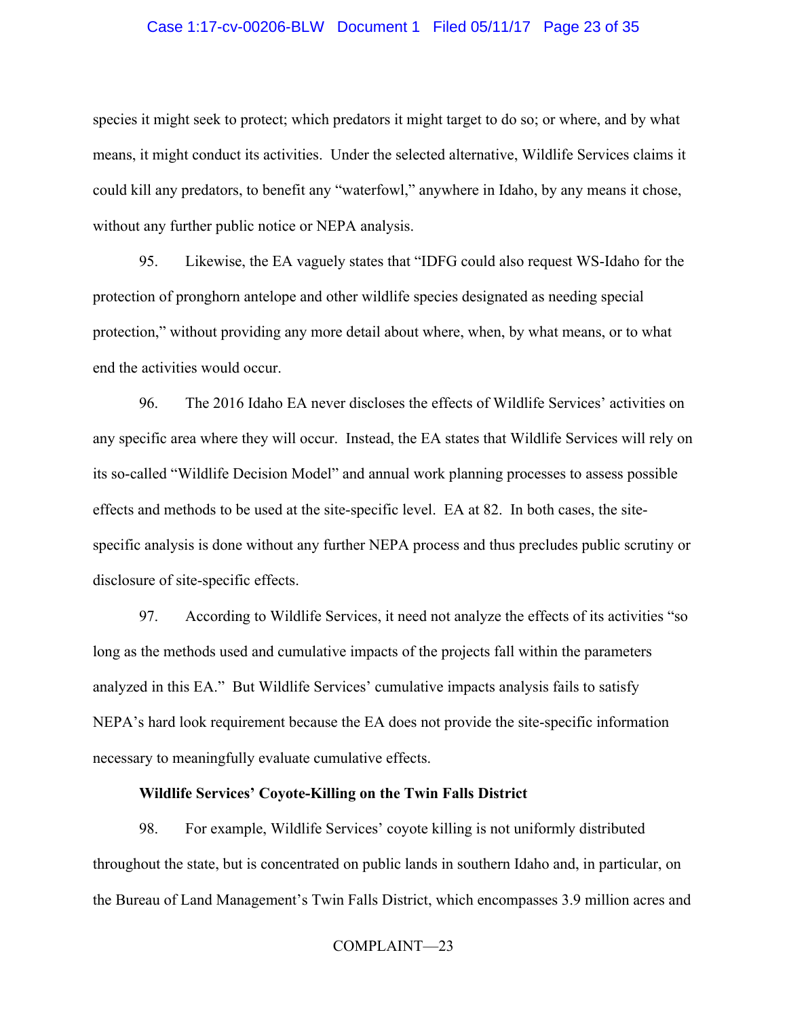### Case 1:17-cv-00206-BLW Document 1 Filed 05/11/17 Page 23 of 35

species it might seek to protect; which predators it might target to do so; or where, and by what means, it might conduct its activities. Under the selected alternative, Wildlife Services claims it could kill any predators, to benefit any "waterfowl," anywhere in Idaho, by any means it chose, without any further public notice or NEPA analysis.

95. Likewise, the EA vaguely states that "IDFG could also request WS-Idaho for the protection of pronghorn antelope and other wildlife species designated as needing special protection," without providing any more detail about where, when, by what means, or to what end the activities would occur.

96. The 2016 Idaho EA never discloses the effects of Wildlife Services' activities on any specific area where they will occur. Instead, the EA states that Wildlife Services will rely on its so-called "Wildlife Decision Model" and annual work planning processes to assess possible effects and methods to be used at the site-specific level. EA at 82. In both cases, the sitespecific analysis is done without any further NEPA process and thus precludes public scrutiny or disclosure of site-specific effects.

97. According to Wildlife Services, it need not analyze the effects of its activities "so long as the methods used and cumulative impacts of the projects fall within the parameters analyzed in this EA." But Wildlife Services' cumulative impacts analysis fails to satisfy NEPA's hard look requirement because the EA does not provide the site-specific information necessary to meaningfully evaluate cumulative effects.

### **Wildlife Services' Coyote-Killing on the Twin Falls District**

98. For example, Wildlife Services' coyote killing is not uniformly distributed throughout the state, but is concentrated on public lands in southern Idaho and, in particular, on the Bureau of Land Management's Twin Falls District, which encompasses 3.9 million acres and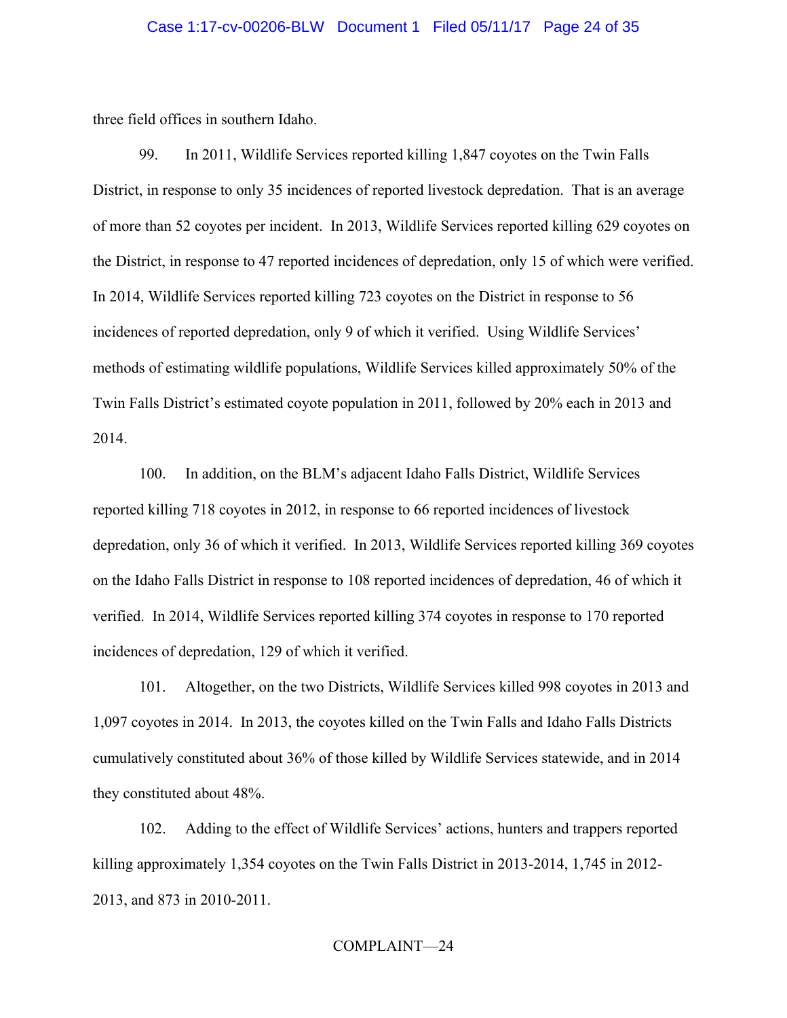### Case 1:17-cv-00206-BLW Document 1 Filed 05/11/17 Page 24 of 35

three field offices in southern Idaho.

99. In 2011, Wildlife Services reported killing 1,847 coyotes on the Twin Falls District, in response to only 35 incidences of reported livestock depredation. That is an average of more than 52 coyotes per incident. In 2013, Wildlife Services reported killing 629 coyotes on the District, in response to 47 reported incidences of depredation, only 15 of which were verified. In 2014, Wildlife Services reported killing 723 coyotes on the District in response to 56 incidences of reported depredation, only 9 of which it verified. Using Wildlife Services' methods of estimating wildlife populations, Wildlife Services killed approximately 50% of the Twin Falls District's estimated coyote population in 2011, followed by 20% each in 2013 and 2014.

100. In addition, on the BLM's adjacent Idaho Falls District, Wildlife Services reported killing 718 coyotes in 2012, in response to 66 reported incidences of livestock depredation, only 36 of which it verified. In 2013, Wildlife Services reported killing 369 coyotes on the Idaho Falls District in response to 108 reported incidences of depredation, 46 of which it verified. In 2014, Wildlife Services reported killing 374 coyotes in response to 170 reported incidences of depredation, 129 of which it verified.

101. Altogether, on the two Districts, Wildlife Services killed 998 coyotes in 2013 and 1,097 coyotes in 2014. In 2013, the coyotes killed on the Twin Falls and Idaho Falls Districts cumulatively constituted about 36% of those killed by Wildlife Services statewide, and in 2014 they constituted about 48%.

102. Adding to the effect of Wildlife Services' actions, hunters and trappers reported killing approximately 1,354 coyotes on the Twin Falls District in 2013-2014, 1,745 in 2012- 2013, and 873 in 2010-2011.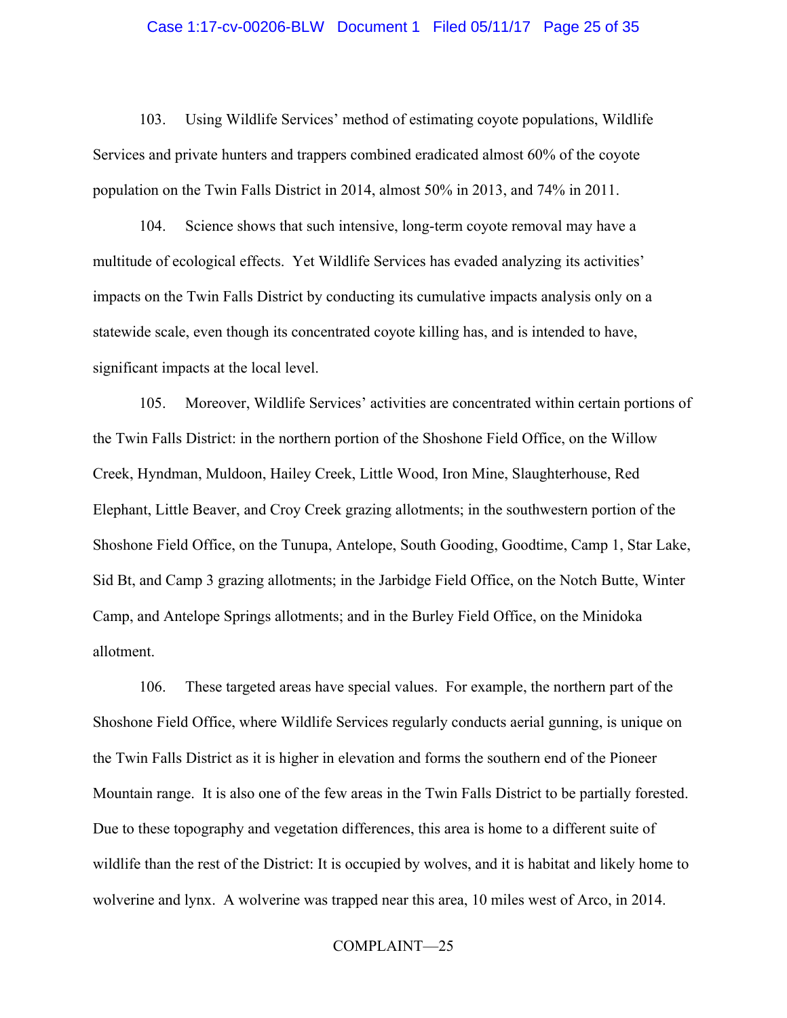### Case 1:17-cv-00206-BLW Document 1 Filed 05/11/17 Page 25 of 35

103. Using Wildlife Services' method of estimating coyote populations, Wildlife Services and private hunters and trappers combined eradicated almost 60% of the coyote population on the Twin Falls District in 2014, almost 50% in 2013, and 74% in 2011.

104. Science shows that such intensive, long-term coyote removal may have a multitude of ecological effects. Yet Wildlife Services has evaded analyzing its activities' impacts on the Twin Falls District by conducting its cumulative impacts analysis only on a statewide scale, even though its concentrated coyote killing has, and is intended to have, significant impacts at the local level.

105. Moreover, Wildlife Services' activities are concentrated within certain portions of the Twin Falls District: in the northern portion of the Shoshone Field Office, on the Willow Creek, Hyndman, Muldoon, Hailey Creek, Little Wood, Iron Mine, Slaughterhouse, Red Elephant, Little Beaver, and Croy Creek grazing allotments; in the southwestern portion of the Shoshone Field Office, on the Tunupa, Antelope, South Gooding, Goodtime, Camp 1, Star Lake, Sid Bt, and Camp 3 grazing allotments; in the Jarbidge Field Office, on the Notch Butte, Winter Camp, and Antelope Springs allotments; and in the Burley Field Office, on the Minidoka allotment.

106. These targeted areas have special values. For example, the northern part of the Shoshone Field Office, where Wildlife Services regularly conducts aerial gunning, is unique on the Twin Falls District as it is higher in elevation and forms the southern end of the Pioneer Mountain range. It is also one of the few areas in the Twin Falls District to be partially forested. Due to these topography and vegetation differences, this area is home to a different suite of wildlife than the rest of the District: It is occupied by wolves, and it is habitat and likely home to wolverine and lynx. A wolverine was trapped near this area, 10 miles west of Arco, in 2014.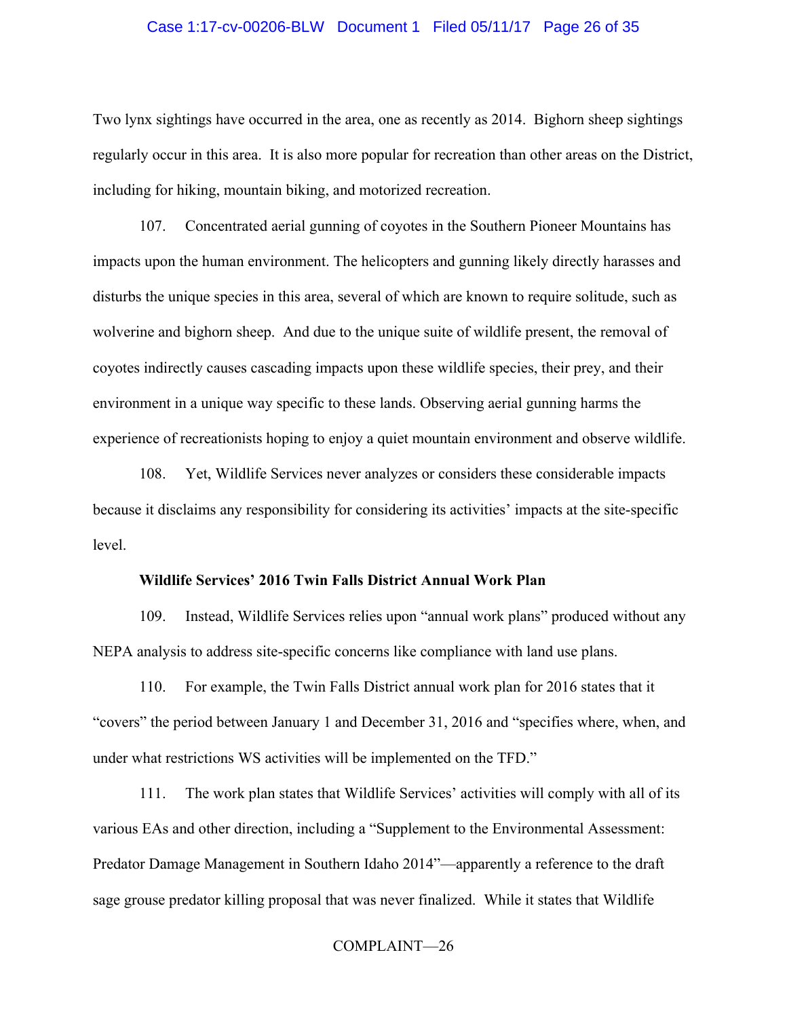### Case 1:17-cv-00206-BLW Document 1 Filed 05/11/17 Page 26 of 35

Two lynx sightings have occurred in the area, one as recently as 2014. Bighorn sheep sightings regularly occur in this area. It is also more popular for recreation than other areas on the District, including for hiking, mountain biking, and motorized recreation.

107. Concentrated aerial gunning of coyotes in the Southern Pioneer Mountains has impacts upon the human environment. The helicopters and gunning likely directly harasses and disturbs the unique species in this area, several of which are known to require solitude, such as wolverine and bighorn sheep. And due to the unique suite of wildlife present, the removal of coyotes indirectly causes cascading impacts upon these wildlife species, their prey, and their environment in a unique way specific to these lands. Observing aerial gunning harms the experience of recreationists hoping to enjoy a quiet mountain environment and observe wildlife.

108. Yet, Wildlife Services never analyzes or considers these considerable impacts because it disclaims any responsibility for considering its activities' impacts at the site-specific level.

### **Wildlife Services' 2016 Twin Falls District Annual Work Plan**

109. Instead, Wildlife Services relies upon "annual work plans" produced without any NEPA analysis to address site-specific concerns like compliance with land use plans.

110. For example, the Twin Falls District annual work plan for 2016 states that it "covers" the period between January 1 and December 31, 2016 and "specifies where, when, and under what restrictions WS activities will be implemented on the TFD."

111. The work plan states that Wildlife Services' activities will comply with all of its various EAs and other direction, including a "Supplement to the Environmental Assessment: Predator Damage Management in Southern Idaho 2014"—apparently a reference to the draft sage grouse predator killing proposal that was never finalized. While it states that Wildlife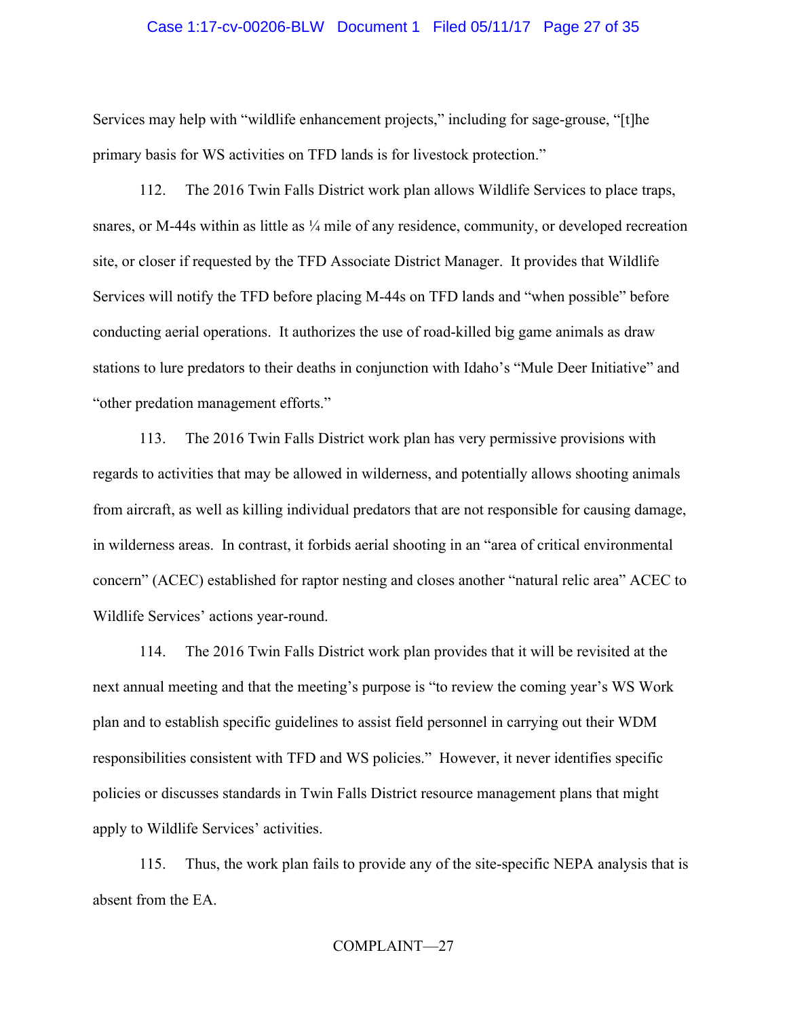### Case 1:17-cv-00206-BLW Document 1 Filed 05/11/17 Page 27 of 35

Services may help with "wildlife enhancement projects," including for sage-grouse, "[t]he primary basis for WS activities on TFD lands is for livestock protection."

112. The 2016 Twin Falls District work plan allows Wildlife Services to place traps, snares, or M-44s within as little as  $\frac{1}{4}$  mile of any residence, community, or developed recreation site, or closer if requested by the TFD Associate District Manager. It provides that Wildlife Services will notify the TFD before placing M-44s on TFD lands and "when possible" before conducting aerial operations. It authorizes the use of road-killed big game animals as draw stations to lure predators to their deaths in conjunction with Idaho's "Mule Deer Initiative" and "other predation management efforts."

113. The 2016 Twin Falls District work plan has very permissive provisions with regards to activities that may be allowed in wilderness, and potentially allows shooting animals from aircraft, as well as killing individual predators that are not responsible for causing damage, in wilderness areas. In contrast, it forbids aerial shooting in an "area of critical environmental concern" (ACEC) established for raptor nesting and closes another "natural relic area" ACEC to Wildlife Services' actions year-round.

114. The 2016 Twin Falls District work plan provides that it will be revisited at the next annual meeting and that the meeting's purpose is "to review the coming year's WS Work plan and to establish specific guidelines to assist field personnel in carrying out their WDM responsibilities consistent with TFD and WS policies." However, it never identifies specific policies or discusses standards in Twin Falls District resource management plans that might apply to Wildlife Services' activities.

115. Thus, the work plan fails to provide any of the site-specific NEPA analysis that is absent from the EA.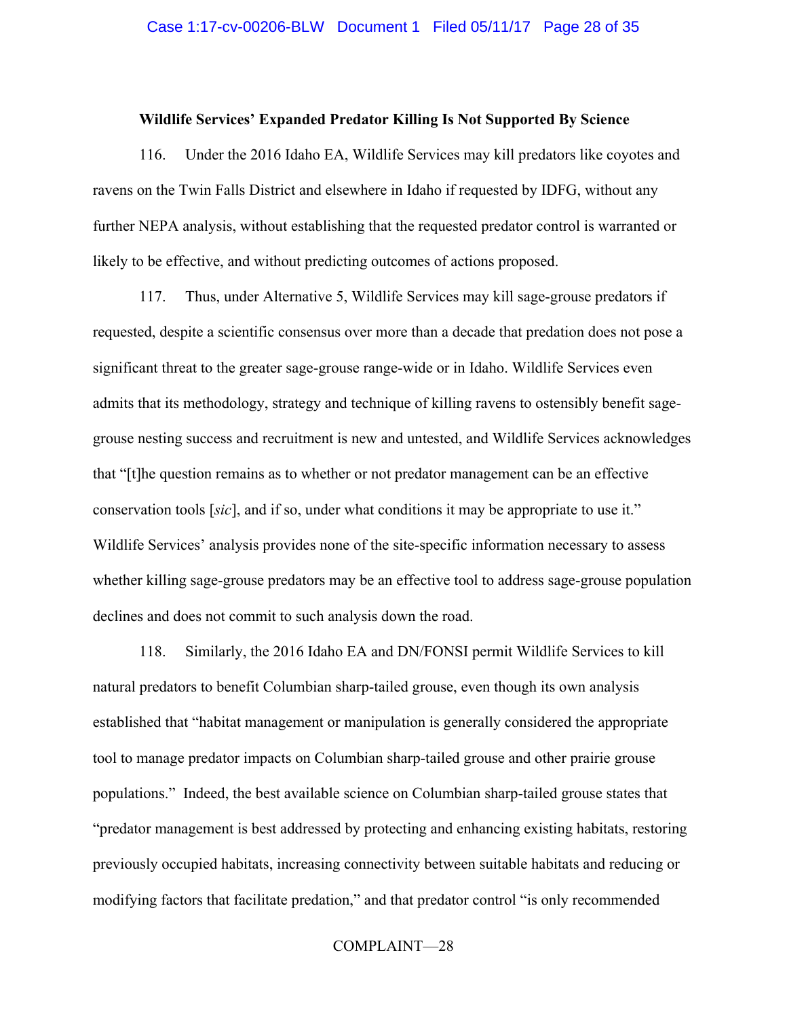### **Wildlife Services' Expanded Predator Killing Is Not Supported By Science**

116. Under the 2016 Idaho EA, Wildlife Services may kill predators like coyotes and ravens on the Twin Falls District and elsewhere in Idaho if requested by IDFG, without any further NEPA analysis, without establishing that the requested predator control is warranted or likely to be effective, and without predicting outcomes of actions proposed.

117. Thus, under Alternative 5, Wildlife Services may kill sage-grouse predators if requested, despite a scientific consensus over more than a decade that predation does not pose a significant threat to the greater sage-grouse range-wide or in Idaho. Wildlife Services even admits that its methodology, strategy and technique of killing ravens to ostensibly benefit sagegrouse nesting success and recruitment is new and untested, and Wildlife Services acknowledges that "[t]he question remains as to whether or not predator management can be an effective conservation tools [*sic*], and if so, under what conditions it may be appropriate to use it." Wildlife Services' analysis provides none of the site-specific information necessary to assess whether killing sage-grouse predators may be an effective tool to address sage-grouse population declines and does not commit to such analysis down the road.

118. Similarly, the 2016 Idaho EA and DN/FONSI permit Wildlife Services to kill natural predators to benefit Columbian sharp-tailed grouse, even though its own analysis established that "habitat management or manipulation is generally considered the appropriate tool to manage predator impacts on Columbian sharp-tailed grouse and other prairie grouse populations." Indeed, the best available science on Columbian sharp-tailed grouse states that "predator management is best addressed by protecting and enhancing existing habitats, restoring previously occupied habitats, increasing connectivity between suitable habitats and reducing or modifying factors that facilitate predation," and that predator control "is only recommended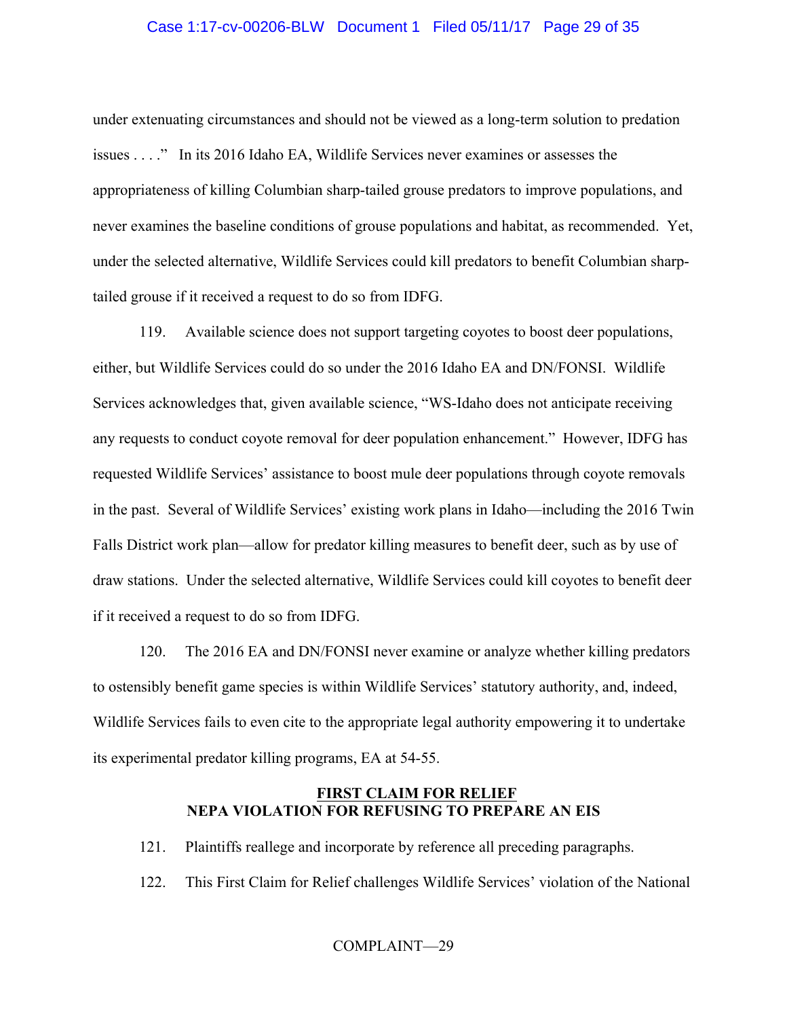# Case 1:17-cv-00206-BLW Document 1 Filed 05/11/17 Page 29 of 35

under extenuating circumstances and should not be viewed as a long-term solution to predation issues . . . ." In its 2016 Idaho EA, Wildlife Services never examines or assesses the appropriateness of killing Columbian sharp-tailed grouse predators to improve populations, and never examines the baseline conditions of grouse populations and habitat, as recommended. Yet, under the selected alternative, Wildlife Services could kill predators to benefit Columbian sharptailed grouse if it received a request to do so from IDFG.

119. Available science does not support targeting coyotes to boost deer populations, either, but Wildlife Services could do so under the 2016 Idaho EA and DN/FONSI. Wildlife Services acknowledges that, given available science, "WS-Idaho does not anticipate receiving any requests to conduct coyote removal for deer population enhancement." However, IDFG has requested Wildlife Services' assistance to boost mule deer populations through coyote removals in the past. Several of Wildlife Services' existing work plans in Idaho—including the 2016 Twin Falls District work plan—allow for predator killing measures to benefit deer, such as by use of draw stations. Under the selected alternative, Wildlife Services could kill coyotes to benefit deer if it received a request to do so from IDFG.

120. The 2016 EA and DN/FONSI never examine or analyze whether killing predators to ostensibly benefit game species is within Wildlife Services' statutory authority, and, indeed, Wildlife Services fails to even cite to the appropriate legal authority empowering it to undertake its experimental predator killing programs, EA at 54-55.

# **FIRST CLAIM FOR RELIEF NEPA VIOLATION FOR REFUSING TO PREPARE AN EIS**

- 121. Plaintiffs reallege and incorporate by reference all preceding paragraphs.
- 122. This First Claim for Relief challenges Wildlife Services' violation of the National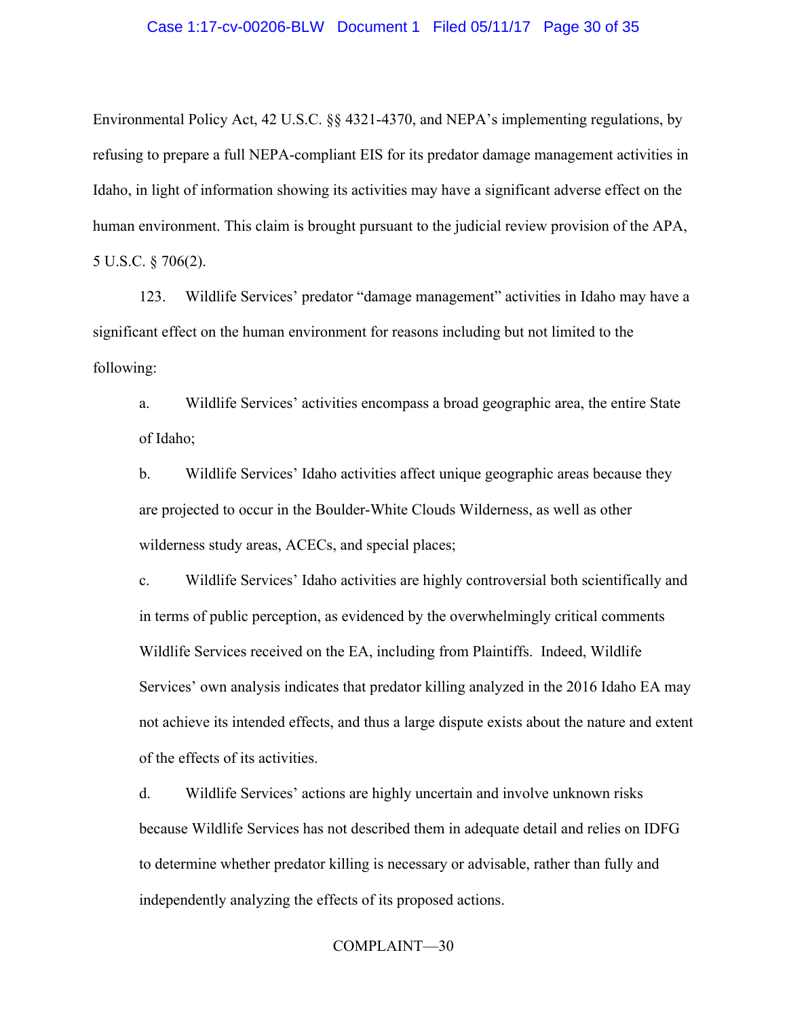### Case 1:17-cv-00206-BLW Document 1 Filed 05/11/17 Page 30 of 35

Environmental Policy Act, 42 U.S.C. §§ 4321-4370, and NEPA's implementing regulations, by refusing to prepare a full NEPA-compliant EIS for its predator damage management activities in Idaho, in light of information showing its activities may have a significant adverse effect on the human environment. This claim is brought pursuant to the judicial review provision of the APA, 5 U.S.C. § 706(2).

123. Wildlife Services' predator "damage management" activities in Idaho may have a significant effect on the human environment for reasons including but not limited to the following:

a. Wildlife Services' activities encompass a broad geographic area, the entire State of Idaho;

b. Wildlife Services' Idaho activities affect unique geographic areas because they are projected to occur in the Boulder-White Clouds Wilderness, as well as other wilderness study areas, ACECs, and special places;

c. Wildlife Services' Idaho activities are highly controversial both scientifically and in terms of public perception, as evidenced by the overwhelmingly critical comments Wildlife Services received on the EA, including from Plaintiffs. Indeed, Wildlife Services' own analysis indicates that predator killing analyzed in the 2016 Idaho EA may not achieve its intended effects, and thus a large dispute exists about the nature and extent of the effects of its activities.

d. Wildlife Services' actions are highly uncertain and involve unknown risks because Wildlife Services has not described them in adequate detail and relies on IDFG to determine whether predator killing is necessary or advisable, rather than fully and independently analyzing the effects of its proposed actions.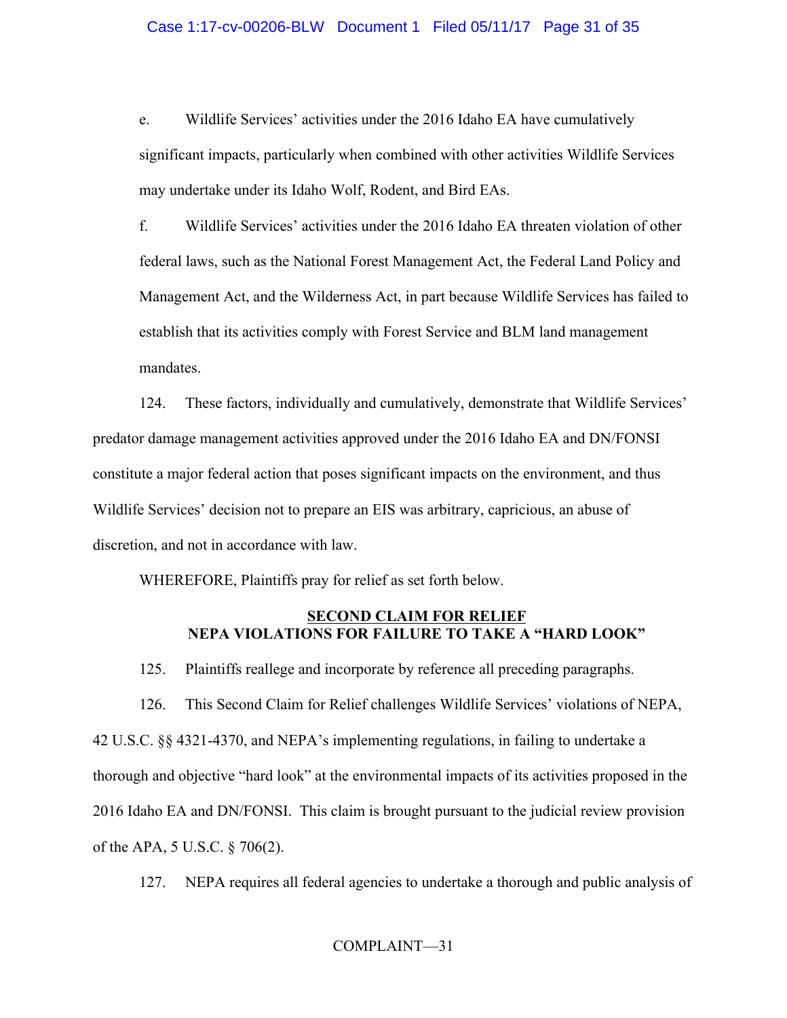e. Wildlife Services' activities under the 2016 Idaho EA have cumulatively significant impacts, particularly when combined with other activities Wildlife Services may undertake under its Idaho Wolf, Rodent, and Bird EAs.

f. Wildlife Services' activities under the 2016 Idaho EA threaten violation of other federal laws, such as the National Forest Management Act, the Federal Land Policy and Management Act, and the Wilderness Act, in part because Wildlife Services has failed to establish that its activities comply with Forest Service and BLM land management mandates.

124. These factors, individually and cumulatively, demonstrate that Wildlife Services' predator damage management activities approved under the 2016 Idaho EA and DN/FONSI constitute a major federal action that poses significant impacts on the environment, and thus Wildlife Services' decision not to prepare an EIS was arbitrary, capricious, an abuse of discretion, and not in accordance with law.

WHEREFORE, Plaintiffs pray for relief as set forth below.

# **SECOND CLAIM FOR RELIEF NEPA VIOLATIONS FOR FAILURE TO TAKE A "HARD LOOK"**

125. Plaintiffs reallege and incorporate by reference all preceding paragraphs.

126. This Second Claim for Relief challenges Wildlife Services' violations of NEPA, 42 U.S.C. §§ 4321-4370, and NEPA's implementing regulations, in failing to undertake a thorough and objective "hard look" at the environmental impacts of its activities proposed in the 2016 Idaho EA and DN/FONSI. This claim is brought pursuant to the judicial review provision of the APA, 5 U.S.C. § 706(2).

127. NEPA requires all federal agencies to undertake a thorough and public analysis of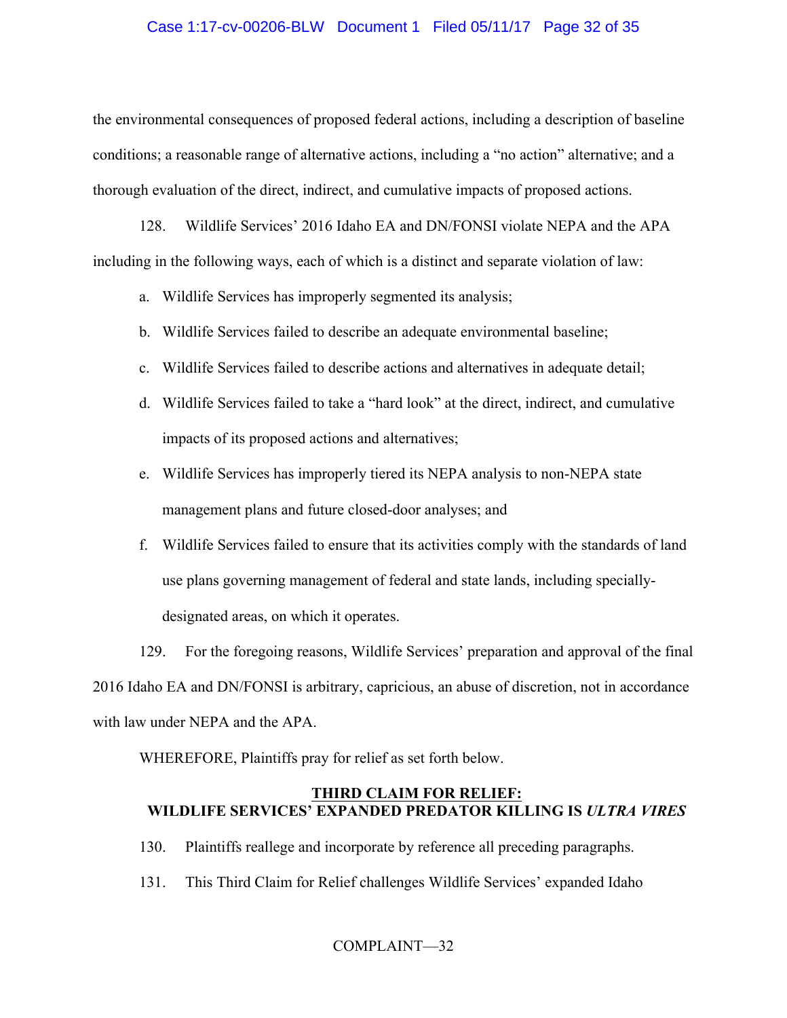# Case 1:17-cv-00206-BLW Document 1 Filed 05/11/17 Page 32 of 35

the environmental consequences of proposed federal actions, including a description of baseline conditions; a reasonable range of alternative actions, including a "no action" alternative; and a thorough evaluation of the direct, indirect, and cumulative impacts of proposed actions.

128. Wildlife Services' 2016 Idaho EA and DN/FONSI violate NEPA and the APA including in the following ways, each of which is a distinct and separate violation of law:

- a. Wildlife Services has improperly segmented its analysis;
- b. Wildlife Services failed to describe an adequate environmental baseline;
- c. Wildlife Services failed to describe actions and alternatives in adequate detail;
- d. Wildlife Services failed to take a "hard look" at the direct, indirect, and cumulative impacts of its proposed actions and alternatives;
- e. Wildlife Services has improperly tiered its NEPA analysis to non-NEPA state management plans and future closed-door analyses; and
- f. Wildlife Services failed to ensure that its activities comply with the standards of land use plans governing management of federal and state lands, including speciallydesignated areas, on which it operates.

129. For the foregoing reasons, Wildlife Services' preparation and approval of the final 2016 Idaho EA and DN/FONSI is arbitrary, capricious, an abuse of discretion, not in accordance with law under NEPA and the APA.

WHEREFORE, Plaintiffs pray for relief as set forth below.

# **THIRD CLAIM FOR RELIEF: WILDLIFE SERVICES' EXPANDED PREDATOR KILLING IS** *ULTRA VIRES*

- 130. Plaintiffs reallege and incorporate by reference all preceding paragraphs.
- 131. This Third Claim for Relief challenges Wildlife Services' expanded Idaho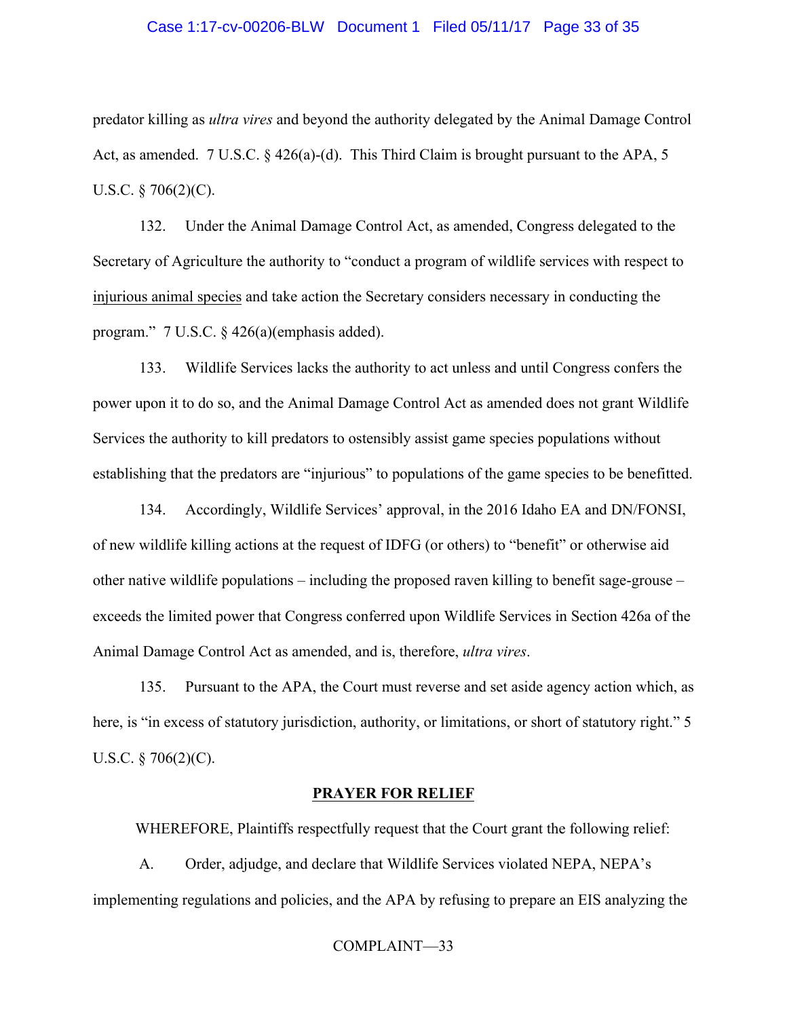### Case 1:17-cv-00206-BLW Document 1 Filed 05/11/17 Page 33 of 35

predator killing as *ultra vires* and beyond the authority delegated by the Animal Damage Control Act, as amended. 7 U.S.C. § 426(a)-(d). This Third Claim is brought pursuant to the APA, 5 U.S.C.  $\S 706(2)(C)$ .

132. Under the Animal Damage Control Act, as amended, Congress delegated to the Secretary of Agriculture the authority to "conduct a program of wildlife services with respect to injurious animal species and take action the Secretary considers necessary in conducting the program." 7 U.S.C. § 426(a)(emphasis added).

133. Wildlife Services lacks the authority to act unless and until Congress confers the power upon it to do so, and the Animal Damage Control Act as amended does not grant Wildlife Services the authority to kill predators to ostensibly assist game species populations without establishing that the predators are "injurious" to populations of the game species to be benefitted.

134. Accordingly, Wildlife Services' approval, in the 2016 Idaho EA and DN/FONSI, of new wildlife killing actions at the request of IDFG (or others) to "benefit" or otherwise aid other native wildlife populations – including the proposed raven killing to benefit sage-grouse – exceeds the limited power that Congress conferred upon Wildlife Services in Section 426a of the Animal Damage Control Act as amended, and is, therefore, *ultra vires*.

135. Pursuant to the APA, the Court must reverse and set aside agency action which, as here, is "in excess of statutory jurisdiction, authority, or limitations, or short of statutory right." 5 U.S.C. § 706(2)(C).

#### **PRAYER FOR RELIEF**

WHEREFORE, Plaintiffs respectfully request that the Court grant the following relief:

A. Order, adjudge, and declare that Wildlife Services violated NEPA, NEPA's implementing regulations and policies, and the APA by refusing to prepare an EIS analyzing the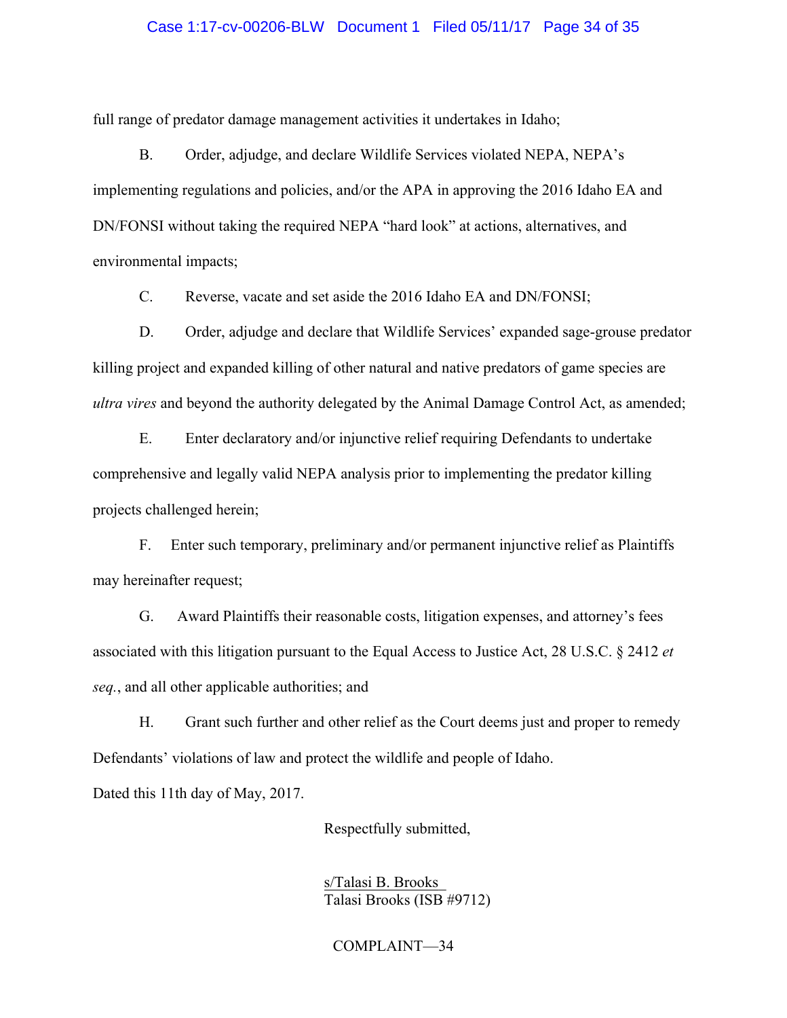### Case 1:17-cv-00206-BLW Document 1 Filed 05/11/17 Page 34 of 35

full range of predator damage management activities it undertakes in Idaho;

B. Order, adjudge, and declare Wildlife Services violated NEPA, NEPA's implementing regulations and policies, and/or the APA in approving the 2016 Idaho EA and DN/FONSI without taking the required NEPA "hard look" at actions, alternatives, and environmental impacts;

C. Reverse, vacate and set aside the 2016 Idaho EA and DN/FONSI;

D. Order, adjudge and declare that Wildlife Services' expanded sage-grouse predator killing project and expanded killing of other natural and native predators of game species are *ultra vires* and beyond the authority delegated by the Animal Damage Control Act, as amended;

E. Enter declaratory and/or injunctive relief requiring Defendants to undertake comprehensive and legally valid NEPA analysis prior to implementing the predator killing projects challenged herein;

F. Enter such temporary, preliminary and/or permanent injunctive relief as Plaintiffs may hereinafter request;

G. Award Plaintiffs their reasonable costs, litigation expenses, and attorney's fees associated with this litigation pursuant to the Equal Access to Justice Act, 28 U.S.C. § 2412 *et seq.*, and all other applicable authorities; and

H. Grant such further and other relief as the Court deems just and proper to remedy Defendants' violations of law and protect the wildlife and people of Idaho.

Dated this 11th day of May, 2017.

Respectfully submitted,

 s/Talasi B. Brooks\_ Talasi Brooks (ISB #9712)